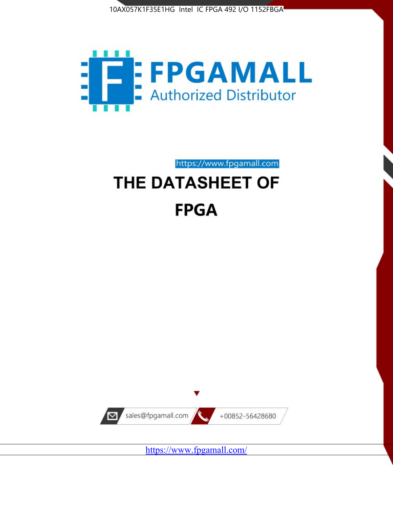



# https://www.fpgamall.com THE DATASHEET OF

# **FPGA**



<https://www.fpgamall.com/>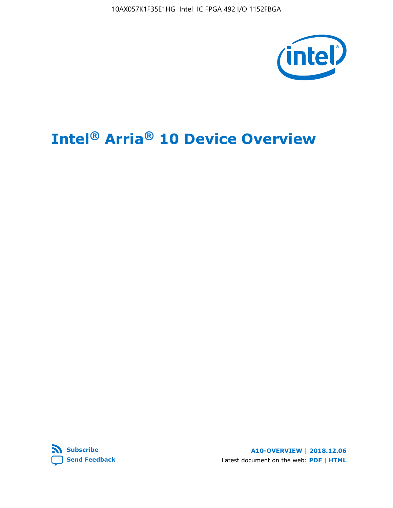10AX057K1F35E1HG Intel IC FPGA 492 I/O 1152FBGA



# **Intel® Arria® 10 Device Overview**



**A10-OVERVIEW | 2018.12.06** Latest document on the web: **[PDF](https://www.intel.com/content/dam/www/programmable/us/en/pdfs/literature/hb/arria-10/a10_overview.pdf)** | **[HTML](https://www.intel.com/content/www/us/en/programmable/documentation/sam1403480274650.html)**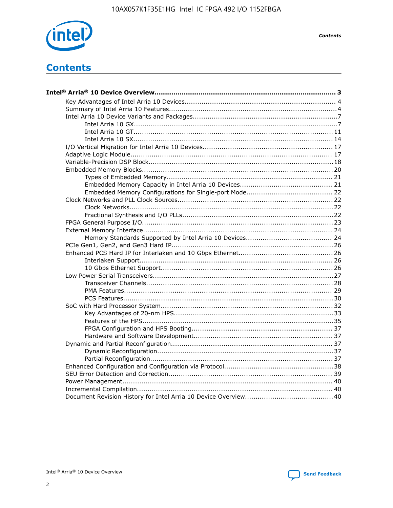

**Contents** 

# **Contents**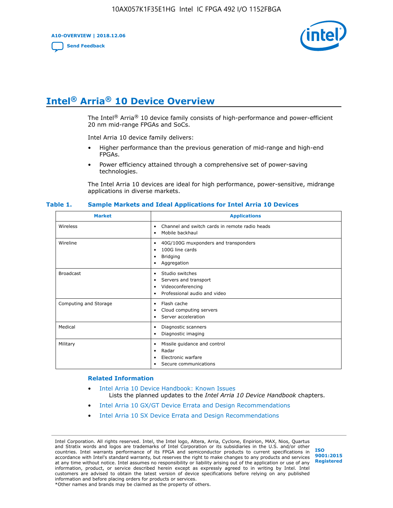**A10-OVERVIEW | 2018.12.06**

**[Send Feedback](mailto:FPGAtechdocfeedback@intel.com?subject=Feedback%20on%20Intel%20Arria%2010%20Device%20Overview%20(A10-OVERVIEW%202018.12.06)&body=We%20appreciate%20your%20feedback.%20In%20your%20comments,%20also%20specify%20the%20page%20number%20or%20paragraph.%20Thank%20you.)**



# **Intel® Arria® 10 Device Overview**

The Intel<sup>®</sup> Arria<sup>®</sup> 10 device family consists of high-performance and power-efficient 20 nm mid-range FPGAs and SoCs.

Intel Arria 10 device family delivers:

- Higher performance than the previous generation of mid-range and high-end FPGAs.
- Power efficiency attained through a comprehensive set of power-saving technologies.

The Intel Arria 10 devices are ideal for high performance, power-sensitive, midrange applications in diverse markets.

| <b>Market</b>         | <b>Applications</b>                                                                                               |
|-----------------------|-------------------------------------------------------------------------------------------------------------------|
| Wireless              | Channel and switch cards in remote radio heads<br>٠<br>Mobile backhaul<br>٠                                       |
| Wireline              | 40G/100G muxponders and transponders<br>٠<br>100G line cards<br>٠<br><b>Bridging</b><br>٠<br>Aggregation<br>٠     |
| <b>Broadcast</b>      | Studio switches<br>٠<br>Servers and transport<br>٠<br>Videoconferencing<br>٠<br>Professional audio and video<br>٠ |
| Computing and Storage | Flash cache<br>٠<br>Cloud computing servers<br>٠<br>Server acceleration<br>٠                                      |
| Medical               | Diagnostic scanners<br>٠<br>Diagnostic imaging<br>٠                                                               |
| Military              | Missile guidance and control<br>٠<br>Radar<br>٠<br>Electronic warfare<br>٠<br>Secure communications<br>٠          |

#### **Table 1. Sample Markets and Ideal Applications for Intel Arria 10 Devices**

#### **Related Information**

- [Intel Arria 10 Device Handbook: Known Issues](http://www.altera.com/support/kdb/solutions/rd07302013_646.html) Lists the planned updates to the *Intel Arria 10 Device Handbook* chapters.
- [Intel Arria 10 GX/GT Device Errata and Design Recommendations](https://www.intel.com/content/www/us/en/programmable/documentation/agz1493851706374.html#yqz1494433888646)
- [Intel Arria 10 SX Device Errata and Design Recommendations](https://www.intel.com/content/www/us/en/programmable/documentation/cru1462832385668.html#cru1462832558642)

Intel Corporation. All rights reserved. Intel, the Intel logo, Altera, Arria, Cyclone, Enpirion, MAX, Nios, Quartus and Stratix words and logos are trademarks of Intel Corporation or its subsidiaries in the U.S. and/or other countries. Intel warrants performance of its FPGA and semiconductor products to current specifications in accordance with Intel's standard warranty, but reserves the right to make changes to any products and services at any time without notice. Intel assumes no responsibility or liability arising out of the application or use of any information, product, or service described herein except as expressly agreed to in writing by Intel. Intel customers are advised to obtain the latest version of device specifications before relying on any published information and before placing orders for products or services. \*Other names and brands may be claimed as the property of others.

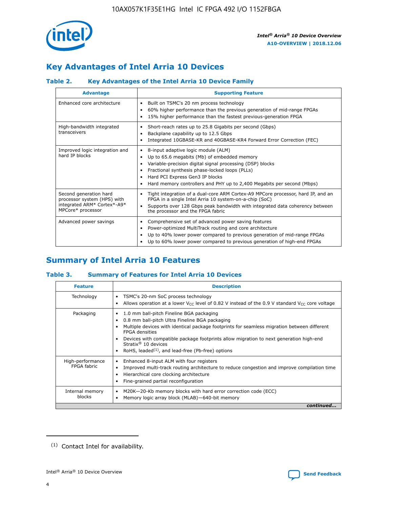

# **Key Advantages of Intel Arria 10 Devices**

# **Table 2. Key Advantages of the Intel Arria 10 Device Family**

| <b>Advantage</b>                                                                                          | <b>Supporting Feature</b>                                                                                                                                                                                                                                                                                                |  |  |  |  |  |
|-----------------------------------------------------------------------------------------------------------|--------------------------------------------------------------------------------------------------------------------------------------------------------------------------------------------------------------------------------------------------------------------------------------------------------------------------|--|--|--|--|--|
| Enhanced core architecture                                                                                | Built on TSMC's 20 nm process technology<br>٠<br>60% higher performance than the previous generation of mid-range FPGAs<br>٠<br>15% higher performance than the fastest previous-generation FPGA<br>٠                                                                                                                    |  |  |  |  |  |
| High-bandwidth integrated<br>transceivers                                                                 | Short-reach rates up to 25.8 Gigabits per second (Gbps)<br>٠<br>Backplane capability up to 12.5 Gbps<br>٠<br>Integrated 10GBASE-KR and 40GBASE-KR4 Forward Error Correction (FEC)<br>٠                                                                                                                                   |  |  |  |  |  |
| Improved logic integration and<br>hard IP blocks                                                          | 8-input adaptive logic module (ALM)<br>٠<br>Up to 65.6 megabits (Mb) of embedded memory<br>٠<br>Variable-precision digital signal processing (DSP) blocks<br>Fractional synthesis phase-locked loops (PLLs)<br>Hard PCI Express Gen3 IP blocks<br>Hard memory controllers and PHY up to 2,400 Megabits per second (Mbps) |  |  |  |  |  |
| Second generation hard<br>processor system (HPS) with<br>integrated ARM* Cortex*-A9*<br>MPCore* processor | Tight integration of a dual-core ARM Cortex-A9 MPCore processor, hard IP, and an<br>٠<br>FPGA in a single Intel Arria 10 system-on-a-chip (SoC)<br>Supports over 128 Gbps peak bandwidth with integrated data coherency between<br>$\bullet$<br>the processor and the FPGA fabric                                        |  |  |  |  |  |
| Advanced power savings                                                                                    | Comprehensive set of advanced power saving features<br>٠<br>Power-optimized MultiTrack routing and core architecture<br>٠<br>Up to 40% lower power compared to previous generation of mid-range FPGAs<br>٠<br>Up to 60% lower power compared to previous generation of high-end FPGAs                                    |  |  |  |  |  |

# **Summary of Intel Arria 10 Features**

## **Table 3. Summary of Features for Intel Arria 10 Devices**

| <b>Feature</b>                  | <b>Description</b>                                                                                                                                                                                                                                                                                                                                                                                 |
|---------------------------------|----------------------------------------------------------------------------------------------------------------------------------------------------------------------------------------------------------------------------------------------------------------------------------------------------------------------------------------------------------------------------------------------------|
| Technology                      | TSMC's 20-nm SoC process technology<br>Allows operation at a lower $V_{\text{CC}}$ level of 0.82 V instead of the 0.9 V standard $V_{\text{CC}}$ core voltage                                                                                                                                                                                                                                      |
| Packaging                       | 1.0 mm ball-pitch Fineline BGA packaging<br>٠<br>0.8 mm ball-pitch Ultra Fineline BGA packaging<br>Multiple devices with identical package footprints for seamless migration between different<br><b>FPGA</b> densities<br>Devices with compatible package footprints allow migration to next generation high-end<br>Stratix $@10$ devices<br>RoHS, leaded $(1)$ , and lead-free (Pb-free) options |
| High-performance<br>FPGA fabric | Enhanced 8-input ALM with four registers<br>Improved multi-track routing architecture to reduce congestion and improve compilation time<br>Hierarchical core clocking architecture<br>Fine-grained partial reconfiguration                                                                                                                                                                         |
| Internal memory<br>blocks       | M20K-20-Kb memory blocks with hard error correction code (ECC)<br>Memory logic array block (MLAB)-640-bit memory                                                                                                                                                                                                                                                                                   |
|                                 | continued                                                                                                                                                                                                                                                                                                                                                                                          |



<sup>(1)</sup> Contact Intel for availability.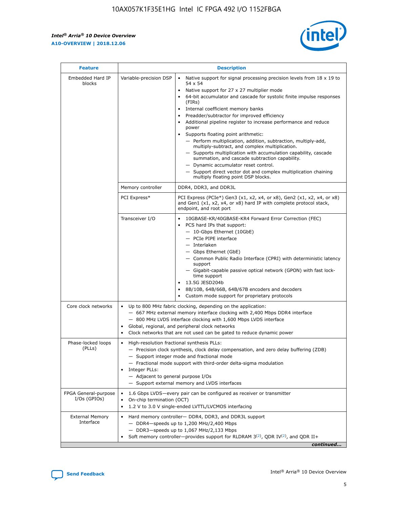r



| <b>Feature</b>                         |                                                                                                                                                                                                                                                                                                                          | <b>Description</b>                                                                                                                                                                                                                                                                                                                                                                                                                                                                                                                                                                                                                                                                                                                                                                                                                     |  |  |  |  |
|----------------------------------------|--------------------------------------------------------------------------------------------------------------------------------------------------------------------------------------------------------------------------------------------------------------------------------------------------------------------------|----------------------------------------------------------------------------------------------------------------------------------------------------------------------------------------------------------------------------------------------------------------------------------------------------------------------------------------------------------------------------------------------------------------------------------------------------------------------------------------------------------------------------------------------------------------------------------------------------------------------------------------------------------------------------------------------------------------------------------------------------------------------------------------------------------------------------------------|--|--|--|--|
| Embedded Hard IP<br>blocks             | Variable-precision DSP                                                                                                                                                                                                                                                                                                   | Native support for signal processing precision levels from $18 \times 19$ to<br>54 x 54<br>Native support for 27 x 27 multiplier mode<br>64-bit accumulator and cascade for systolic finite impulse responses<br>(FIRs)<br>Internal coefficient memory banks<br>$\bullet$<br>Preadder/subtractor for improved efficiency<br>Additional pipeline register to increase performance and reduce<br>power<br>Supports floating point arithmetic:<br>- Perform multiplication, addition, subtraction, multiply-add,<br>multiply-subtract, and complex multiplication.<br>- Supports multiplication with accumulation capability, cascade<br>summation, and cascade subtraction capability.<br>- Dynamic accumulator reset control.<br>- Support direct vector dot and complex multiplication chaining<br>multiply floating point DSP blocks. |  |  |  |  |
|                                        | Memory controller                                                                                                                                                                                                                                                                                                        | DDR4, DDR3, and DDR3L                                                                                                                                                                                                                                                                                                                                                                                                                                                                                                                                                                                                                                                                                                                                                                                                                  |  |  |  |  |
|                                        | PCI Express*                                                                                                                                                                                                                                                                                                             | PCI Express (PCIe*) Gen3 (x1, x2, x4, or x8), Gen2 (x1, x2, x4, or x8)<br>and Gen1 (x1, x2, x4, or x8) hard IP with complete protocol stack,<br>endpoint, and root port                                                                                                                                                                                                                                                                                                                                                                                                                                                                                                                                                                                                                                                                |  |  |  |  |
|                                        | Transceiver I/O                                                                                                                                                                                                                                                                                                          | 10GBASE-KR/40GBASE-KR4 Forward Error Correction (FEC)<br>PCS hard IPs that support:<br>$\bullet$<br>- 10-Gbps Ethernet (10GbE)<br>- PCIe PIPE interface<br>$-$ Interlaken<br>- Gbps Ethernet (GbE)<br>- Common Public Radio Interface (CPRI) with deterministic latency<br>support<br>- Gigabit-capable passive optical network (GPON) with fast lock-<br>time support<br>13.5G JESD204b<br>$\bullet$<br>8B/10B, 64B/66B, 64B/67B encoders and decoders<br>Custom mode support for proprietary protocols                                                                                                                                                                                                                                                                                                                               |  |  |  |  |
| Core clock networks                    | $\bullet$<br>$\bullet$                                                                                                                                                                                                                                                                                                   | Up to 800 MHz fabric clocking, depending on the application:<br>- 667 MHz external memory interface clocking with 2,400 Mbps DDR4 interface<br>- 800 MHz LVDS interface clocking with 1,600 Mbps LVDS interface<br>Global, regional, and peripheral clock networks<br>Clock networks that are not used can be gated to reduce dynamic power                                                                                                                                                                                                                                                                                                                                                                                                                                                                                            |  |  |  |  |
| Phase-locked loops<br>(PLLs)           | High-resolution fractional synthesis PLLs:<br>$\bullet$<br>Integer PLLs:<br>- Adjacent to general purpose I/Os                                                                                                                                                                                                           | - Precision clock synthesis, clock delay compensation, and zero delay buffering (ZDB)<br>- Support integer mode and fractional mode<br>- Fractional mode support with third-order delta-sigma modulation<br>- Support external memory and LVDS interfaces                                                                                                                                                                                                                                                                                                                                                                                                                                                                                                                                                                              |  |  |  |  |
| FPGA General-purpose<br>$I/Os$ (GPIOs) | On-chip termination (OCT)                                                                                                                                                                                                                                                                                                | 1.6 Gbps LVDS-every pair can be configured as receiver or transmitter                                                                                                                                                                                                                                                                                                                                                                                                                                                                                                                                                                                                                                                                                                                                                                  |  |  |  |  |
| <b>External Memory</b><br>Interface    | 1.2 V to 3.0 V single-ended LVTTL/LVCMOS interfacing<br>Hard memory controller- DDR4, DDR3, and DDR3L support<br>$-$ DDR4 $-$ speeds up to 1,200 MHz/2,400 Mbps<br>- DDR3-speeds up to 1,067 MHz/2,133 Mbps<br>Soft memory controller—provides support for RLDRAM $3^{(2)}$ , QDR IV $^{(2)}$ , and QDR II+<br>continued |                                                                                                                                                                                                                                                                                                                                                                                                                                                                                                                                                                                                                                                                                                                                                                                                                                        |  |  |  |  |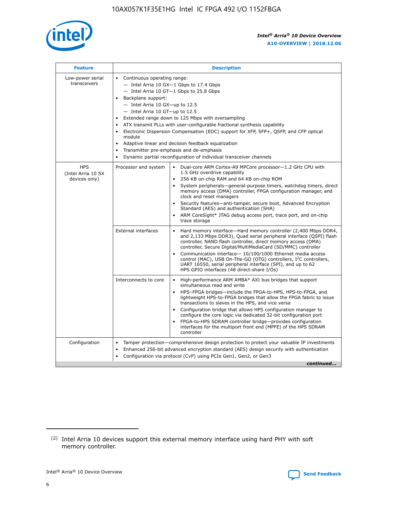

| <b>Feature</b>                                    | <b>Description</b>                                                                                                                                                                                                                                                                                                                                                                                                                                                                                                                                                                                                                                      |
|---------------------------------------------------|---------------------------------------------------------------------------------------------------------------------------------------------------------------------------------------------------------------------------------------------------------------------------------------------------------------------------------------------------------------------------------------------------------------------------------------------------------------------------------------------------------------------------------------------------------------------------------------------------------------------------------------------------------|
| Low-power serial<br>transceivers                  | • Continuous operating range:<br>- Intel Arria 10 GX-1 Gbps to 17.4 Gbps<br>- Intel Arria 10 GT-1 Gbps to 25.8 Gbps<br>Backplane support:<br>$-$ Intel Arria 10 GX-up to 12.5<br>$-$ Intel Arria 10 GT-up to 12.5<br>Extended range down to 125 Mbps with oversampling<br>ATX transmit PLLs with user-configurable fractional synthesis capability<br>Electronic Dispersion Compensation (EDC) support for XFP, SFP+, QSFP, and CFP optical<br>module<br>Adaptive linear and decision feedback equalization<br>$\bullet$<br>Transmitter pre-emphasis and de-emphasis<br>$\bullet$<br>Dynamic partial reconfiguration of individual transceiver channels |
| <b>HPS</b><br>(Intel Arria 10 SX<br>devices only) | • Dual-core ARM Cortex-A9 MPCore processor-1.2 GHz CPU with<br>Processor and system<br>1.5 GHz overdrive capability<br>256 KB on-chip RAM and 64 KB on-chip ROM<br>$\bullet$<br>System peripherals—general-purpose timers, watchdog timers, direct<br>memory access (DMA) controller, FPGA configuration manager, and<br>clock and reset managers<br>Security features—anti-tamper, secure boot, Advanced Encryption<br>$\bullet$<br>Standard (AES) and authentication (SHA)<br>ARM CoreSight* JTAG debug access port, trace port, and on-chip<br>$\bullet$<br>trace storage                                                                            |
|                                                   | <b>External interfaces</b><br>Hard memory interface-Hard memory controller (2,400 Mbps DDR4,<br>$\bullet$<br>and 2,133 Mbps DDR3), Quad serial peripheral interface (QSPI) flash<br>controller, NAND flash controller, direct memory access (DMA)<br>controller, Secure Digital/MultiMediaCard (SD/MMC) controller<br>Communication interface-10/100/1000 Ethernet media access<br>$\bullet$<br>control (MAC), USB On-The-GO (OTG) controllers, I <sup>2</sup> C controllers,<br>UART 16550, serial peripheral interface (SPI), and up to 62<br>HPS GPIO interfaces (48 direct-share I/Os)                                                              |
|                                                   | High-performance ARM AMBA* AXI bus bridges that support<br>Interconnects to core<br>$\bullet$<br>simultaneous read and write<br>HPS-FPGA bridges-include the FPGA-to-HPS, HPS-to-FPGA, and<br>$\bullet$<br>lightweight HPS-to-FPGA bridges that allow the FPGA fabric to issue<br>transactions to slaves in the HPS, and vice versa<br>Configuration bridge that allows HPS configuration manager to<br>configure the core logic via dedicated 32-bit configuration port<br>FPGA-to-HPS SDRAM controller bridge-provides configuration<br>interfaces for the multiport front end (MPFE) of the HPS SDRAM<br>controller                                  |
| Configuration                                     | Tamper protection—comprehensive design protection to protect your valuable IP investments<br>Enhanced 256-bit advanced encryption standard (AES) design security with authentication<br>٠<br>Configuration via protocol (CvP) using PCIe Gen1, Gen2, or Gen3<br>continued                                                                                                                                                                                                                                                                                                                                                                               |

<sup>(2)</sup> Intel Arria 10 devices support this external memory interface using hard PHY with soft memory controller.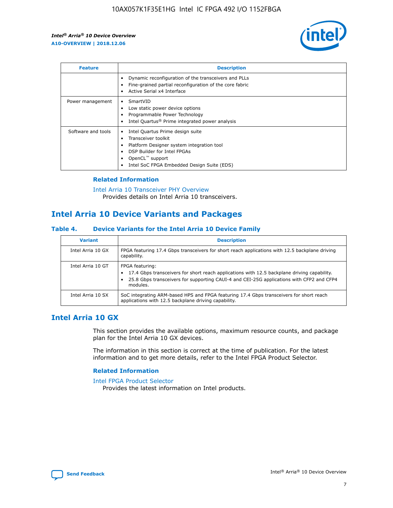

| <b>Feature</b>     | <b>Description</b>                                                                                                                                                                                               |
|--------------------|------------------------------------------------------------------------------------------------------------------------------------------------------------------------------------------------------------------|
|                    | Dynamic reconfiguration of the transceivers and PLLs<br>Fine-grained partial reconfiguration of the core fabric<br>Active Serial x4 Interface<br>$\bullet$                                                       |
| Power management   | SmartVID<br>Low static power device options<br>Programmable Power Technology<br>Intel Quartus <sup>®</sup> Prime integrated power analysis                                                                       |
| Software and tools | Intel Quartus Prime design suite<br>Transceiver toolkit<br>Platform Designer system integration tool<br>DSP Builder for Intel FPGAs<br>OpenCL <sup>™</sup> support<br>Intel SoC FPGA Embedded Design Suite (EDS) |

## **Related Information**

[Intel Arria 10 Transceiver PHY Overview](https://www.intel.com/content/www/us/en/programmable/documentation/nik1398707230472.html#nik1398706768037) Provides details on Intel Arria 10 transceivers.

# **Intel Arria 10 Device Variants and Packages**

#### **Table 4. Device Variants for the Intel Arria 10 Device Family**

| <b>Variant</b>    | <b>Description</b>                                                                                                                                                                                                     |
|-------------------|------------------------------------------------------------------------------------------------------------------------------------------------------------------------------------------------------------------------|
| Intel Arria 10 GX | FPGA featuring 17.4 Gbps transceivers for short reach applications with 12.5 backplane driving<br>capability.                                                                                                          |
| Intel Arria 10 GT | FPGA featuring:<br>17.4 Gbps transceivers for short reach applications with 12.5 backplane driving capability.<br>25.8 Gbps transceivers for supporting CAUI-4 and CEI-25G applications with CFP2 and CFP4<br>modules. |
| Intel Arria 10 SX | SoC integrating ARM-based HPS and FPGA featuring 17.4 Gbps transceivers for short reach<br>applications with 12.5 backplane driving capability.                                                                        |

# **Intel Arria 10 GX**

This section provides the available options, maximum resource counts, and package plan for the Intel Arria 10 GX devices.

The information in this section is correct at the time of publication. For the latest information and to get more details, refer to the Intel FPGA Product Selector.

#### **Related Information**

#### [Intel FPGA Product Selector](http://www.altera.com/products/selector/psg-selector.html) Provides the latest information on Intel products.

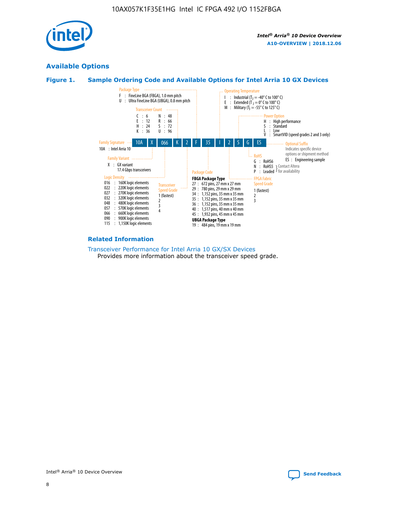

# **Available Options**





#### **Related Information**

[Transceiver Performance for Intel Arria 10 GX/SX Devices](https://www.intel.com/content/www/us/en/programmable/documentation/mcn1413182292568.html#mcn1413213965502) Provides more information about the transceiver speed grade.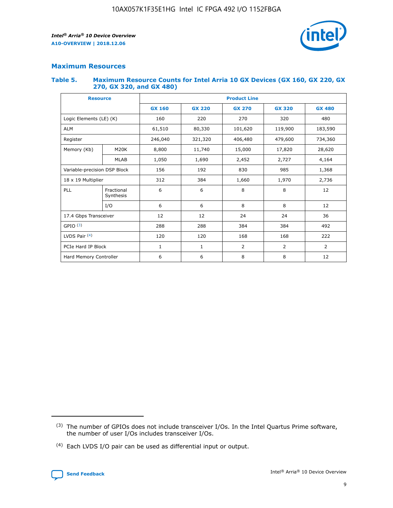

## **Maximum Resources**

#### **Table 5. Maximum Resource Counts for Intel Arria 10 GX Devices (GX 160, GX 220, GX 270, GX 320, and GX 480)**

| <b>Resource</b>              |                         | <b>Product Line</b> |                                                 |                |                |               |  |  |
|------------------------------|-------------------------|---------------------|-------------------------------------------------|----------------|----------------|---------------|--|--|
|                              |                         | <b>GX 160</b>       | <b>GX 220</b><br><b>GX 270</b><br><b>GX 320</b> |                |                | <b>GX 480</b> |  |  |
| Logic Elements (LE) (K)      |                         | 160                 | 220                                             | 270            | 320            | 480           |  |  |
| <b>ALM</b>                   |                         | 61,510              | 80,330                                          | 101,620        | 119,900        | 183,590       |  |  |
| Register                     |                         | 246,040             | 321,320<br>406,480<br>479,600                   |                |                | 734,360       |  |  |
| Memory (Kb)                  | M <sub>20</sub> K       | 8,800               | 11,740                                          | 15,000         | 17,820         | 28,620        |  |  |
|                              | <b>MLAB</b>             | 1,050               | 1,690<br>2,452                                  |                | 2,727          | 4,164         |  |  |
| Variable-precision DSP Block |                         | 156                 | 192                                             | 830            | 985            |               |  |  |
| 18 x 19 Multiplier           |                         | 312                 | 384                                             | 1,970<br>1,660 |                | 2,736         |  |  |
| PLL                          | Fractional<br>Synthesis | 6                   | 6                                               | 8              | 8              | 12            |  |  |
|                              | I/O                     | 6                   | 6                                               | 8              | 8              | 12            |  |  |
| 17.4 Gbps Transceiver        |                         | 12                  | 12                                              | 24             | 24             | 36            |  |  |
| GPIO <sup>(3)</sup>          |                         | 288                 | 288                                             | 384<br>384     |                | 492           |  |  |
| LVDS Pair $(4)$              |                         | 120                 | 120                                             | 168            | 168            | 222           |  |  |
| PCIe Hard IP Block           |                         | 1                   | 1                                               | $\overline{2}$ | $\overline{2}$ | 2             |  |  |
| Hard Memory Controller       |                         | 6                   | 6                                               | 8              | 8              | 12            |  |  |

<sup>(4)</sup> Each LVDS I/O pair can be used as differential input or output.



<sup>(3)</sup> The number of GPIOs does not include transceiver I/Os. In the Intel Quartus Prime software, the number of user I/Os includes transceiver I/Os.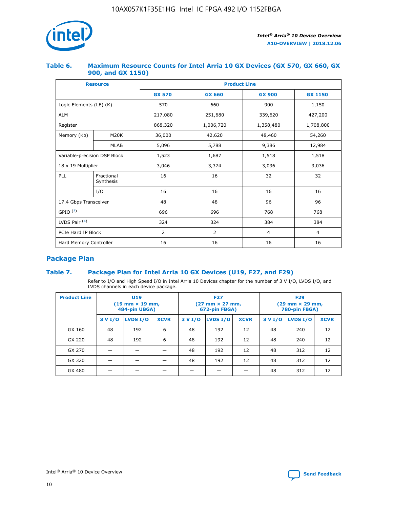

## **Table 6. Maximum Resource Counts for Intel Arria 10 GX Devices (GX 570, GX 660, GX 900, and GX 1150)**

|                              | <b>Resource</b>         | <b>Product Line</b> |                        |                |                |  |  |  |
|------------------------------|-------------------------|---------------------|------------------------|----------------|----------------|--|--|--|
|                              |                         | <b>GX 570</b>       | <b>GX 660</b>          | <b>GX 900</b>  | <b>GX 1150</b> |  |  |  |
| Logic Elements (LE) (K)      |                         | 570                 | 660                    | 900            | 1,150          |  |  |  |
| <b>ALM</b>                   |                         | 217,080             | 251,680                | 339,620        | 427,200        |  |  |  |
| Register                     |                         | 868,320             | 1,006,720<br>1,358,480 |                | 1,708,800      |  |  |  |
| Memory (Kb)                  | <b>M20K</b>             | 36,000              | 42,620                 | 48,460         | 54,260         |  |  |  |
|                              | <b>MLAB</b>             | 5,096               | 5,788                  | 9,386          | 12,984         |  |  |  |
| Variable-precision DSP Block |                         | 1,523               | 1,687                  | 1,518          | 1,518          |  |  |  |
| $18 \times 19$ Multiplier    |                         | 3,046               | 3,374                  | 3,036          | 3,036          |  |  |  |
| PLL                          | Fractional<br>Synthesis | 16                  | 16                     | 32             | 32             |  |  |  |
|                              | I/O                     | 16                  | 16                     | 16             | 16             |  |  |  |
| 17.4 Gbps Transceiver        |                         | 48                  | 48<br>96               |                | 96             |  |  |  |
| GPIO <sup>(3)</sup>          |                         | 696                 | 696                    | 768            | 768            |  |  |  |
| LVDS Pair $(4)$              |                         | 324                 | 324                    | 384            | 384            |  |  |  |
| PCIe Hard IP Block           |                         | 2                   | $\overline{2}$         | $\overline{4}$ | 4              |  |  |  |
| Hard Memory Controller       |                         | 16                  | 16                     | 16             | 16             |  |  |  |

# **Package Plan**

## **Table 7. Package Plan for Intel Arria 10 GX Devices (U19, F27, and F29)**

Refer to I/O and High Speed I/O in Intel Arria 10 Devices chapter for the number of 3 V I/O, LVDS I/O, and LVDS channels in each device package.

| <b>Product Line</b> | <b>U19</b><br>$(19 \text{ mm} \times 19 \text{ mm})$<br>484-pin UBGA) |          |             |         | <b>F27</b><br>(27 mm × 27 mm,<br>672-pin FBGA) |             | <b>F29</b><br>(29 mm × 29 mm,<br>780-pin FBGA) |          |             |  |
|---------------------|-----------------------------------------------------------------------|----------|-------------|---------|------------------------------------------------|-------------|------------------------------------------------|----------|-------------|--|
|                     | 3 V I/O                                                               | LVDS I/O | <b>XCVR</b> | 3 V I/O | LVDS I/O                                       | <b>XCVR</b> | 3 V I/O                                        | LVDS I/O | <b>XCVR</b> |  |
| GX 160              | 48                                                                    | 192      | 6           | 48      | 192                                            | 12          | 48                                             | 240      | 12          |  |
| GX 220              | 48                                                                    | 192      | 6           | 48      | 192                                            | 12          | 48                                             | 240      | 12          |  |
| GX 270              |                                                                       |          |             | 48      | 192                                            | 12          | 48                                             | 312      | 12          |  |
| GX 320              |                                                                       |          |             | 48      | 192                                            | 12          | 48                                             | 312      | 12          |  |
| GX 480              |                                                                       |          |             |         |                                                |             | 48                                             | 312      | 12          |  |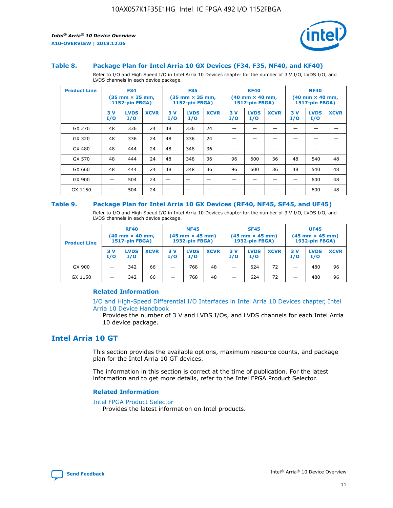

#### **Table 8. Package Plan for Intel Arria 10 GX Devices (F34, F35, NF40, and KF40)**

Refer to I/O and High Speed I/O in Intel Arria 10 Devices chapter for the number of 3 V I/O, LVDS I/O, and LVDS channels in each device package.

| <b>Product Line</b> | <b>F34</b><br>$(35 \text{ mm} \times 35 \text{ mm})$<br><b>1152-pin FBGA)</b> |                    | <b>F35</b><br>$(35 \text{ mm} \times 35 \text{ mm})$<br>1152-pin FBGA) |           | <b>KF40</b><br>$(40$ mm $\times$ 40 mm,<br><b>1517-pin FBGA)</b> |             |           | <b>NF40</b><br>$(40 \text{ mm} \times 40 \text{ mm})$<br>1517-pin FBGA) |             |           |                    |             |
|---------------------|-------------------------------------------------------------------------------|--------------------|------------------------------------------------------------------------|-----------|------------------------------------------------------------------|-------------|-----------|-------------------------------------------------------------------------|-------------|-----------|--------------------|-------------|
|                     | 3V<br>I/O                                                                     | <b>LVDS</b><br>I/O | <b>XCVR</b>                                                            | 3V<br>I/O | <b>LVDS</b><br>I/O                                               | <b>XCVR</b> | 3V<br>I/O | <b>LVDS</b><br>I/O                                                      | <b>XCVR</b> | 3V<br>I/O | <b>LVDS</b><br>I/O | <b>XCVR</b> |
| GX 270              | 48                                                                            | 336                | 24                                                                     | 48        | 336                                                              | 24          |           |                                                                         |             |           |                    |             |
| GX 320              | 48                                                                            | 336                | 24                                                                     | 48        | 336                                                              | 24          |           |                                                                         |             |           |                    |             |
| GX 480              | 48                                                                            | 444                | 24                                                                     | 48        | 348                                                              | 36          |           |                                                                         |             |           |                    |             |
| GX 570              | 48                                                                            | 444                | 24                                                                     | 48        | 348                                                              | 36          | 96        | 600                                                                     | 36          | 48        | 540                | 48          |
| GX 660              | 48                                                                            | 444                | 24                                                                     | 48        | 348                                                              | 36          | 96        | 600                                                                     | 36          | 48        | 540                | 48          |
| GX 900              |                                                                               | 504                | 24                                                                     | –         |                                                                  | -           |           |                                                                         |             |           | 600                | 48          |
| GX 1150             |                                                                               | 504                | 24                                                                     |           |                                                                  |             |           |                                                                         |             |           | 600                | 48          |

#### **Table 9. Package Plan for Intel Arria 10 GX Devices (RF40, NF45, SF45, and UF45)**

Refer to I/O and High Speed I/O in Intel Arria 10 Devices chapter for the number of 3 V I/O, LVDS I/O, and LVDS channels in each device package.

| <b>Product Line</b> | <b>RF40</b><br>$(40$ mm $\times$ 40 mm,<br>1517-pin FBGA) |                    | <b>NF45</b><br>$(45 \text{ mm} \times 45 \text{ mm})$<br><b>1932-pin FBGA)</b> |            |                    | <b>SF45</b><br>$(45 \text{ mm} \times 45 \text{ mm})$<br><b>1932-pin FBGA)</b> |            |                    | <b>UF45</b><br>$(45 \text{ mm} \times 45 \text{ mm})$<br><b>1932-pin FBGA)</b> |           |                    |             |
|---------------------|-----------------------------------------------------------|--------------------|--------------------------------------------------------------------------------|------------|--------------------|--------------------------------------------------------------------------------|------------|--------------------|--------------------------------------------------------------------------------|-----------|--------------------|-------------|
|                     | 3V<br>I/O                                                 | <b>LVDS</b><br>I/O | <b>XCVR</b>                                                                    | 3 V<br>I/O | <b>LVDS</b><br>I/O | <b>XCVR</b>                                                                    | 3 V<br>I/O | <b>LVDS</b><br>I/O | <b>XCVR</b>                                                                    | 3V<br>I/O | <b>LVDS</b><br>I/O | <b>XCVR</b> |
| GX 900              |                                                           | 342                | 66                                                                             | _          | 768                | 48                                                                             |            | 624                | 72                                                                             |           | 480                | 96          |
| GX 1150             |                                                           | 342                | 66                                                                             | _          | 768                | 48                                                                             |            | 624                | 72                                                                             |           | 480                | 96          |

#### **Related Information**

[I/O and High-Speed Differential I/O Interfaces in Intel Arria 10 Devices chapter, Intel](https://www.intel.com/content/www/us/en/programmable/documentation/sam1403482614086.html#sam1403482030321) [Arria 10 Device Handbook](https://www.intel.com/content/www/us/en/programmable/documentation/sam1403482614086.html#sam1403482030321)

Provides the number of 3 V and LVDS I/Os, and LVDS channels for each Intel Arria 10 device package.

# **Intel Arria 10 GT**

This section provides the available options, maximum resource counts, and package plan for the Intel Arria 10 GT devices.

The information in this section is correct at the time of publication. For the latest information and to get more details, refer to the Intel FPGA Product Selector.

#### **Related Information**

#### [Intel FPGA Product Selector](http://www.altera.com/products/selector/psg-selector.html)

Provides the latest information on Intel products.

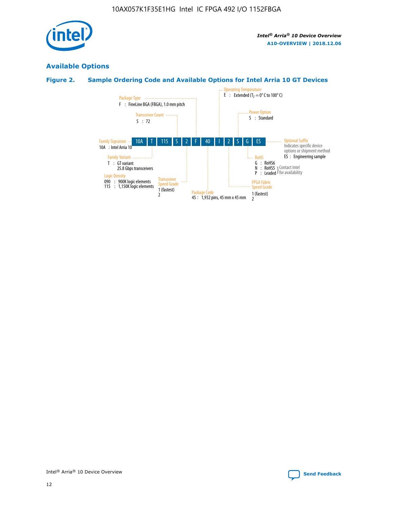

# **Available Options**

# **Figure 2. Sample Ordering Code and Available Options for Intel Arria 10 GT Devices**

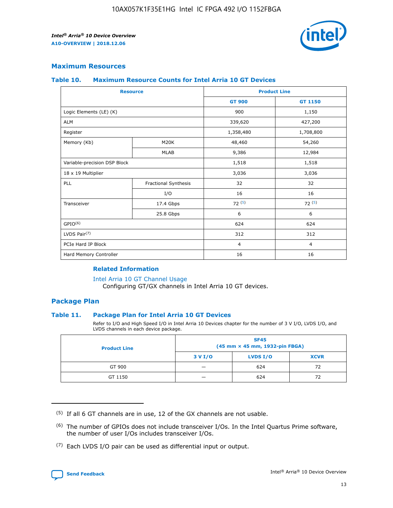

## **Maximum Resources**

#### **Table 10. Maximum Resource Counts for Intel Arria 10 GT Devices**

| <b>Resource</b>              |                      |                | <b>Product Line</b> |  |
|------------------------------|----------------------|----------------|---------------------|--|
|                              |                      | <b>GT 900</b>  | <b>GT 1150</b>      |  |
| Logic Elements (LE) (K)      |                      | 900            | 1,150               |  |
| <b>ALM</b>                   |                      | 339,620        | 427,200             |  |
| Register                     |                      | 1,358,480      | 1,708,800           |  |
| Memory (Kb)                  | M20K                 | 48,460         | 54,260              |  |
|                              | <b>MLAB</b>          | 9,386          | 12,984              |  |
| Variable-precision DSP Block |                      | 1,518          | 1,518               |  |
| 18 x 19 Multiplier           |                      | 3,036          | 3,036               |  |
| <b>PLL</b>                   | Fractional Synthesis | 32             | 32                  |  |
|                              | I/O                  | 16             | 16                  |  |
| Transceiver                  | 17.4 Gbps            | 72(5)          | 72(5)               |  |
|                              | 25.8 Gbps            | 6              | 6                   |  |
| GPIO <sup>(6)</sup>          |                      | 624            | 624                 |  |
| LVDS Pair $(7)$              |                      | 312            | 312                 |  |
| PCIe Hard IP Block           |                      | $\overline{4}$ | $\overline{4}$      |  |
| Hard Memory Controller       |                      | 16             | 16                  |  |

#### **Related Information**

#### [Intel Arria 10 GT Channel Usage](https://www.intel.com/content/www/us/en/programmable/documentation/nik1398707230472.html#nik1398707008178)

Configuring GT/GX channels in Intel Arria 10 GT devices.

## **Package Plan**

#### **Table 11. Package Plan for Intel Arria 10 GT Devices**

Refer to I/O and High Speed I/O in Intel Arria 10 Devices chapter for the number of 3 V I/O, LVDS I/O, and LVDS channels in each device package.

| <b>Product Line</b> | <b>SF45</b><br>(45 mm × 45 mm, 1932-pin FBGA) |                 |             |  |  |  |
|---------------------|-----------------------------------------------|-----------------|-------------|--|--|--|
|                     | 3 V I/O                                       | <b>LVDS I/O</b> | <b>XCVR</b> |  |  |  |
| GT 900              |                                               | 624             | 72          |  |  |  |
| GT 1150             |                                               | 624             | 72          |  |  |  |

<sup>(7)</sup> Each LVDS I/O pair can be used as differential input or output.



 $(5)$  If all 6 GT channels are in use, 12 of the GX channels are not usable.

<sup>(6)</sup> The number of GPIOs does not include transceiver I/Os. In the Intel Quartus Prime software, the number of user I/Os includes transceiver I/Os.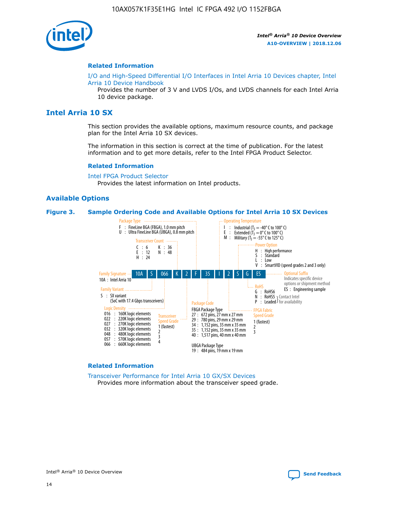

#### **Related Information**

[I/O and High-Speed Differential I/O Interfaces in Intel Arria 10 Devices chapter, Intel](https://www.intel.com/content/www/us/en/programmable/documentation/sam1403482614086.html#sam1403482030321) [Arria 10 Device Handbook](https://www.intel.com/content/www/us/en/programmable/documentation/sam1403482614086.html#sam1403482030321)

Provides the number of 3 V and LVDS I/Os, and LVDS channels for each Intel Arria 10 device package.

# **Intel Arria 10 SX**

This section provides the available options, maximum resource counts, and package plan for the Intel Arria 10 SX devices.

The information in this section is correct at the time of publication. For the latest information and to get more details, refer to the Intel FPGA Product Selector.

#### **Related Information**

[Intel FPGA Product Selector](http://www.altera.com/products/selector/psg-selector.html) Provides the latest information on Intel products.

#### **Available Options**

#### **Figure 3. Sample Ordering Code and Available Options for Intel Arria 10 SX Devices**



#### **Related Information**

[Transceiver Performance for Intel Arria 10 GX/SX Devices](https://www.intel.com/content/www/us/en/programmable/documentation/mcn1413182292568.html#mcn1413213965502) Provides more information about the transceiver speed grade.

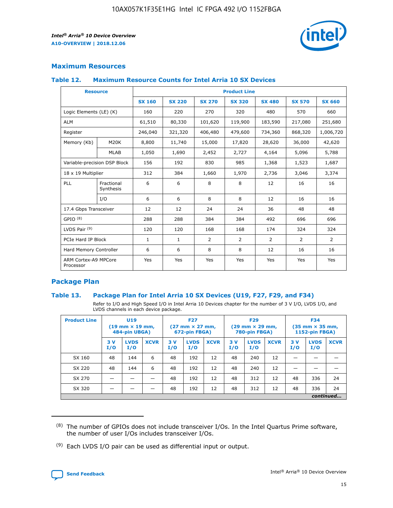

## **Maximum Resources**

#### **Table 12. Maximum Resource Counts for Intel Arria 10 SX Devices**

|                                   | <b>Resource</b>         | <b>Product Line</b> |               |                |                |                |                |                |  |  |  |
|-----------------------------------|-------------------------|---------------------|---------------|----------------|----------------|----------------|----------------|----------------|--|--|--|
|                                   |                         | <b>SX 160</b>       | <b>SX 220</b> | <b>SX 270</b>  | <b>SX 320</b>  | <b>SX 480</b>  | <b>SX 570</b>  | <b>SX 660</b>  |  |  |  |
| Logic Elements (LE) (K)           |                         | 160                 | 220           | 270            | 320            | 480            | 570            | 660            |  |  |  |
| <b>ALM</b>                        |                         | 61,510              | 80,330        | 101,620        | 119,900        | 183,590        | 217,080        | 251,680        |  |  |  |
| Register                          |                         | 246,040             | 321,320       | 406,480        | 479,600        | 734,360        | 868,320        | 1,006,720      |  |  |  |
| Memory (Kb)                       | M <sub>20</sub> K       | 8,800               | 11,740        | 15,000         | 17,820         | 28,620         | 36,000         | 42,620         |  |  |  |
|                                   | <b>MLAB</b>             | 1,050               | 1,690         | 2,452          | 2,727          | 4,164          | 5,096          | 5,788          |  |  |  |
| Variable-precision DSP Block      |                         | 156                 | 192           | 830            | 985            | 1,368          | 1,523          | 1,687          |  |  |  |
| 18 x 19 Multiplier                |                         | 312                 | 384           | 1,660          | 1,970          | 2,736          | 3,046          | 3,374          |  |  |  |
| <b>PLL</b>                        | Fractional<br>Synthesis | 6                   | 6             | 8              | 8              | 12             | 16             | 16             |  |  |  |
|                                   | I/O                     | 6                   | 6             | 8              | 8              | 12             | 16             | 16             |  |  |  |
| 17.4 Gbps Transceiver             |                         | 12                  | 12            | 24             | 24             | 36             | 48             | 48             |  |  |  |
| GPIO <sup>(8)</sup>               |                         | 288                 | 288           | 384            | 384            | 492            | 696            | 696            |  |  |  |
| LVDS Pair $(9)$                   |                         | 120                 | 120           | 168            | 168            | 174            | 324            | 324            |  |  |  |
| PCIe Hard IP Block                |                         | $\mathbf{1}$        | $\mathbf{1}$  | $\overline{2}$ | $\overline{2}$ | $\overline{2}$ | $\overline{2}$ | $\overline{2}$ |  |  |  |
| Hard Memory Controller            |                         | 6                   | 6             | 8              | 8              | 12             | 16             | 16             |  |  |  |
| ARM Cortex-A9 MPCore<br>Processor |                         | Yes                 | Yes           | Yes            | Yes            | Yes            | Yes            | Yes            |  |  |  |

## **Package Plan**

#### **Table 13. Package Plan for Intel Arria 10 SX Devices (U19, F27, F29, and F34)**

Refer to I/O and High Speed I/O in Intel Arria 10 Devices chapter for the number of 3 V I/O, LVDS I/O, and LVDS channels in each device package.

| <b>Product Line</b> | U19<br>$(19 \text{ mm} \times 19 \text{ mm})$<br>484-pin UBGA) |                    |             | <b>F27</b><br>$(27 \text{ mm} \times 27 \text{ mm})$ .<br>672-pin FBGA) |                    | <b>F29</b><br>$(29 \text{ mm} \times 29 \text{ mm})$ .<br>780-pin FBGA) |            |                    | <b>F34</b><br>$(35 \text{ mm} \times 35 \text{ mm})$<br><b>1152-pin FBGA)</b> |           |                    |             |
|---------------------|----------------------------------------------------------------|--------------------|-------------|-------------------------------------------------------------------------|--------------------|-------------------------------------------------------------------------|------------|--------------------|-------------------------------------------------------------------------------|-----------|--------------------|-------------|
|                     | 3V<br>I/O                                                      | <b>LVDS</b><br>I/O | <b>XCVR</b> | 3V<br>I/O                                                               | <b>LVDS</b><br>I/O | <b>XCVR</b>                                                             | 3 V<br>I/O | <b>LVDS</b><br>I/O | <b>XCVR</b>                                                                   | 3V<br>I/O | <b>LVDS</b><br>I/O | <b>XCVR</b> |
| SX 160              | 48                                                             | 144                | 6           | 48                                                                      | 192                | 12                                                                      | 48         | 240                | 12                                                                            |           |                    |             |
| SX 220              | 48                                                             | 144                | 6           | 48                                                                      | 192                | 12                                                                      | 48         | 240                | 12                                                                            |           |                    |             |
| SX 270              |                                                                |                    |             | 48                                                                      | 192                | 12                                                                      | 48         | 312                | 12                                                                            | 48        | 336                | 24          |
| SX 320              |                                                                |                    |             | 48                                                                      | 192                | 12                                                                      | 48         | 312                | 12                                                                            | 48        | 336                | 24          |
|                     |                                                                |                    |             |                                                                         |                    |                                                                         |            |                    |                                                                               |           |                    | continued   |

 $(8)$  The number of GPIOs does not include transceiver I/Os. In the Intel Quartus Prime software, the number of user I/Os includes transceiver I/Os.

 $(9)$  Each LVDS I/O pair can be used as differential input or output.

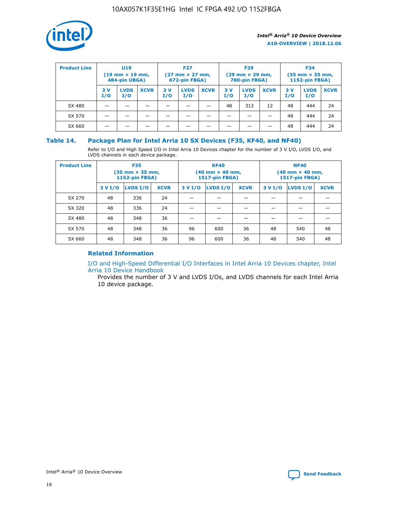

| <b>Product Line</b> | U <sub>19</sub><br>$(19 \text{ mm} \times 19 \text{ mm})$<br>484-pin UBGA) |                    | <b>F27</b><br>$(27 \text{ mm} \times 27 \text{ mm})$<br>672-pin FBGA) |           | <b>F29</b><br>$(29 \text{ mm} \times 29 \text{ mm})$<br>780-pin FBGA) |             |           | <b>F34</b><br>$(35 \text{ mm} \times 35 \text{ mm})$<br><b>1152-pin FBGA)</b> |             |           |                    |             |
|---------------------|----------------------------------------------------------------------------|--------------------|-----------------------------------------------------------------------|-----------|-----------------------------------------------------------------------|-------------|-----------|-------------------------------------------------------------------------------|-------------|-----------|--------------------|-------------|
|                     | 3 V<br>I/O                                                                 | <b>LVDS</b><br>I/O | <b>XCVR</b>                                                           | 3V<br>I/O | <b>LVDS</b><br>I/O                                                    | <b>XCVR</b> | 3V<br>I/O | <b>LVDS</b><br>I/O                                                            | <b>XCVR</b> | 3V<br>I/O | <b>LVDS</b><br>I/O | <b>XCVR</b> |
| SX 480              |                                                                            |                    |                                                                       |           |                                                                       |             | 48        | 312                                                                           | 12          | 48        | 444                | 24          |
| SX 570              |                                                                            |                    |                                                                       |           |                                                                       |             |           |                                                                               |             | 48        | 444                | 24          |
| SX 660              |                                                                            |                    |                                                                       |           |                                                                       |             |           |                                                                               |             | 48        | 444                | 24          |

## **Table 14. Package Plan for Intel Arria 10 SX Devices (F35, KF40, and NF40)**

Refer to I/O and High Speed I/O in Intel Arria 10 Devices chapter for the number of 3 V I/O, LVDS I/O, and LVDS channels in each device package.

| <b>Product Line</b> | <b>F35</b><br>$(35 \text{ mm} \times 35 \text{ mm})$<br><b>1152-pin FBGA)</b> |          |             |                                           | <b>KF40</b><br>(40 mm × 40 mm,<br>1517-pin FBGA) |    | <b>NF40</b><br>$(40 \text{ mm} \times 40 \text{ mm})$<br>1517-pin FBGA) |          |             |  |
|---------------------|-------------------------------------------------------------------------------|----------|-------------|-------------------------------------------|--------------------------------------------------|----|-------------------------------------------------------------------------|----------|-------------|--|
|                     | 3 V I/O                                                                       | LVDS I/O | <b>XCVR</b> | <b>LVDS I/O</b><br><b>XCVR</b><br>3 V I/O |                                                  |    | 3 V I/O                                                                 | LVDS I/O | <b>XCVR</b> |  |
| SX 270              | 48                                                                            | 336      | 24          |                                           |                                                  |    |                                                                         |          |             |  |
| SX 320              | 48                                                                            | 336      | 24          |                                           |                                                  |    |                                                                         |          |             |  |
| SX 480              | 48                                                                            | 348      | 36          |                                           |                                                  |    |                                                                         |          |             |  |
| SX 570              | 48                                                                            | 348      | 36          | 96                                        | 600                                              | 36 | 48                                                                      | 540      | 48          |  |
| SX 660              | 48                                                                            | 348      | 36          | 96                                        | 600                                              | 36 | 48                                                                      | 540      | 48          |  |

# **Related Information**

[I/O and High-Speed Differential I/O Interfaces in Intel Arria 10 Devices chapter, Intel](https://www.intel.com/content/www/us/en/programmable/documentation/sam1403482614086.html#sam1403482030321) [Arria 10 Device Handbook](https://www.intel.com/content/www/us/en/programmable/documentation/sam1403482614086.html#sam1403482030321)

Provides the number of 3 V and LVDS I/Os, and LVDS channels for each Intel Arria 10 device package.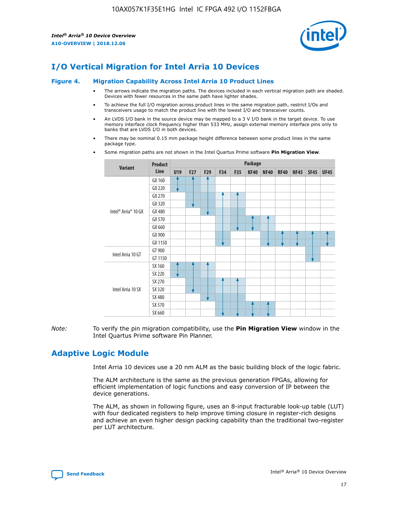

# **I/O Vertical Migration for Intel Arria 10 Devices**

#### **Figure 4. Migration Capability Across Intel Arria 10 Product Lines**

- The arrows indicate the migration paths. The devices included in each vertical migration path are shaded. Devices with fewer resources in the same path have lighter shades.
- To achieve the full I/O migration across product lines in the same migration path, restrict I/Os and transceivers usage to match the product line with the lowest I/O and transceiver counts.
- An LVDS I/O bank in the source device may be mapped to a 3 V I/O bank in the target device. To use memory interface clock frequency higher than 533 MHz, assign external memory interface pins only to banks that are LVDS I/O in both devices.
- There may be nominal 0.15 mm package height difference between some product lines in the same package type.
	- **Variant Product Line Package U19 F27 F29 F34 F35 KF40 NF40 RF40 NF45 SF45 UF45** Intel® Arria® 10 GX GX 160 GX 220 GX 270 GX 320 GX 480 GX 570 GX 660 GX 900 GX 1150 Intel Arria 10 GT GT 900 GT 1150 Intel Arria 10 SX SX 160 SX 220 SX 270 SX 320 SX 480 SX 570 SX 660
- Some migration paths are not shown in the Intel Quartus Prime software **Pin Migration View**.

*Note:* To verify the pin migration compatibility, use the **Pin Migration View** window in the Intel Quartus Prime software Pin Planner.

# **Adaptive Logic Module**

Intel Arria 10 devices use a 20 nm ALM as the basic building block of the logic fabric.

The ALM architecture is the same as the previous generation FPGAs, allowing for efficient implementation of logic functions and easy conversion of IP between the device generations.

The ALM, as shown in following figure, uses an 8-input fracturable look-up table (LUT) with four dedicated registers to help improve timing closure in register-rich designs and achieve an even higher design packing capability than the traditional two-register per LUT architecture.

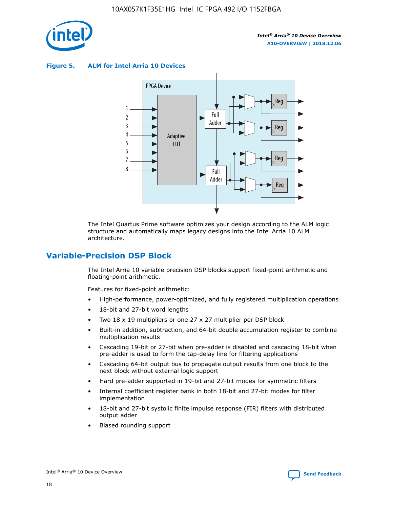

**Figure 5. ALM for Intel Arria 10 Devices**



The Intel Quartus Prime software optimizes your design according to the ALM logic structure and automatically maps legacy designs into the Intel Arria 10 ALM architecture.

# **Variable-Precision DSP Block**

The Intel Arria 10 variable precision DSP blocks support fixed-point arithmetic and floating-point arithmetic.

Features for fixed-point arithmetic:

- High-performance, power-optimized, and fully registered multiplication operations
- 18-bit and 27-bit word lengths
- Two 18 x 19 multipliers or one 27 x 27 multiplier per DSP block
- Built-in addition, subtraction, and 64-bit double accumulation register to combine multiplication results
- Cascading 19-bit or 27-bit when pre-adder is disabled and cascading 18-bit when pre-adder is used to form the tap-delay line for filtering applications
- Cascading 64-bit output bus to propagate output results from one block to the next block without external logic support
- Hard pre-adder supported in 19-bit and 27-bit modes for symmetric filters
- Internal coefficient register bank in both 18-bit and 27-bit modes for filter implementation
- 18-bit and 27-bit systolic finite impulse response (FIR) filters with distributed output adder
- Biased rounding support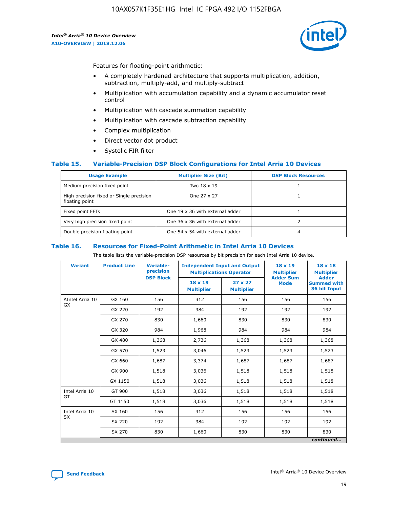

Features for floating-point arithmetic:

- A completely hardened architecture that supports multiplication, addition, subtraction, multiply-add, and multiply-subtract
- Multiplication with accumulation capability and a dynamic accumulator reset control
- Multiplication with cascade summation capability
- Multiplication with cascade subtraction capability
- Complex multiplication
- Direct vector dot product
- Systolic FIR filter

#### **Table 15. Variable-Precision DSP Block Configurations for Intel Arria 10 Devices**

| <b>Usage Example</b>                                       | <b>Multiplier Size (Bit)</b>    | <b>DSP Block Resources</b> |
|------------------------------------------------------------|---------------------------------|----------------------------|
| Medium precision fixed point                               | Two 18 x 19                     |                            |
| High precision fixed or Single precision<br>floating point | One 27 x 27                     |                            |
| Fixed point FFTs                                           | One 19 x 36 with external adder |                            |
| Very high precision fixed point                            | One 36 x 36 with external adder |                            |
| Double precision floating point                            | One 54 x 54 with external adder | 4                          |

#### **Table 16. Resources for Fixed-Point Arithmetic in Intel Arria 10 Devices**

The table lists the variable-precision DSP resources by bit precision for each Intel Arria 10 device.

| <b>Variant</b>  | <b>Product Line</b> | <b>Variable-</b><br>precision<br><b>DSP Block</b> | <b>Independent Input and Output</b><br><b>Multiplications Operator</b> |                                     | $18 \times 19$<br><b>Multiplier</b><br><b>Adder Sum</b> | $18 \times 18$<br><b>Multiplier</b><br><b>Adder</b> |
|-----------------|---------------------|---------------------------------------------------|------------------------------------------------------------------------|-------------------------------------|---------------------------------------------------------|-----------------------------------------------------|
|                 |                     |                                                   | 18 x 19<br><b>Multiplier</b>                                           | $27 \times 27$<br><b>Multiplier</b> | <b>Mode</b>                                             | <b>Summed with</b><br>36 bit Input                  |
| AIntel Arria 10 | GX 160              | 156                                               | 312                                                                    | 156                                 | 156                                                     | 156                                                 |
| GX              | GX 220              | 192                                               | 384                                                                    | 192                                 | 192                                                     | 192                                                 |
|                 | GX 270              | 830                                               | 1,660                                                                  | 830                                 | 830                                                     | 830                                                 |
|                 | GX 320              | 984                                               | 1,968                                                                  | 984                                 | 984                                                     | 984                                                 |
|                 | GX 480              | 1,368                                             | 2,736                                                                  | 1,368                               | 1,368                                                   | 1,368                                               |
|                 | GX 570              | 1,523                                             | 3,046                                                                  | 1,523                               | 1,523                                                   | 1,523                                               |
|                 | GX 660              | 1,687                                             | 3,374                                                                  | 1,687                               | 1,687                                                   | 1,687                                               |
|                 | GX 900              | 1,518                                             | 3,036                                                                  | 1,518                               | 1,518                                                   | 1,518                                               |
|                 | GX 1150             | 1,518                                             | 3,036                                                                  | 1,518                               | 1,518                                                   | 1,518                                               |
| Intel Arria 10  | GT 900              | 1,518                                             | 3,036                                                                  | 1,518                               | 1,518                                                   | 1,518                                               |
| GT              | GT 1150             | 1,518                                             | 3,036                                                                  | 1,518                               | 1,518                                                   | 1,518                                               |
| Intel Arria 10  | SX 160              | 156                                               | 312                                                                    | 156                                 | 156                                                     | 156                                                 |
| <b>SX</b>       | SX 220              | 192                                               | 384                                                                    | 192                                 | 192                                                     | 192                                                 |
|                 | SX 270              | 830                                               | 1,660                                                                  | 830                                 | 830                                                     | 830                                                 |
|                 |                     |                                                   |                                                                        |                                     |                                                         | continued                                           |

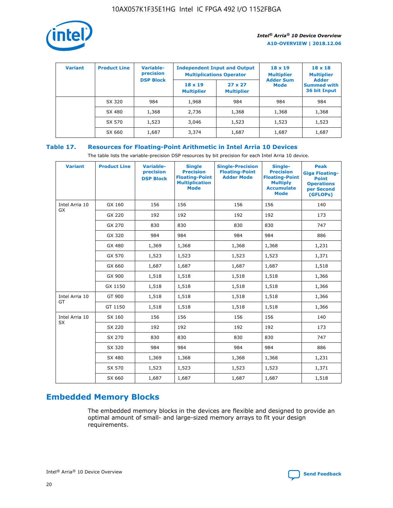

| <b>Variant</b> | <b>Product Line</b> | <b>Variable-</b><br>precision |                                     | <b>Independent Input and Output</b><br><b>Multiplications Operator</b> | $18 \times 19$<br><b>Multiplier</b> | $18 \times 18$<br><b>Multiplier</b>                |
|----------------|---------------------|-------------------------------|-------------------------------------|------------------------------------------------------------------------|-------------------------------------|----------------------------------------------------|
|                |                     | <b>DSP Block</b>              | $18 \times 19$<br><b>Multiplier</b> | $27 \times 27$<br><b>Multiplier</b>                                    | <b>Adder Sum</b><br><b>Mode</b>     | <b>Adder</b><br><b>Summed with</b><br>36 bit Input |
|                | SX 320              | 984                           | 1,968                               | 984                                                                    | 984                                 | 984                                                |
|                | SX 480              | 1,368                         | 2,736                               | 1,368                                                                  | 1,368                               | 1,368                                              |
|                | SX 570              | 1,523                         | 3,046                               | 1,523                                                                  | 1,523                               | 1,523                                              |
|                | SX 660              | 1,687                         | 3,374                               | 1,687                                                                  | 1,687                               | 1,687                                              |

# **Table 17. Resources for Floating-Point Arithmetic in Intel Arria 10 Devices**

The table lists the variable-precision DSP resources by bit precision for each Intel Arria 10 device.

| <b>Variant</b> | <b>Product Line</b> | <b>Variable-</b><br>precision<br><b>DSP Block</b> | <b>Single</b><br><b>Precision</b><br><b>Floating-Point</b><br><b>Multiplication</b><br><b>Mode</b> | <b>Single-Precision</b><br><b>Floating-Point</b><br><b>Adder Mode</b> | Single-<br><b>Precision</b><br><b>Floating-Point</b><br><b>Multiply</b><br><b>Accumulate</b><br><b>Mode</b> | <b>Peak</b><br><b>Giga Floating-</b><br><b>Point</b><br><b>Operations</b><br>per Second<br>(GFLOPs) |
|----------------|---------------------|---------------------------------------------------|----------------------------------------------------------------------------------------------------|-----------------------------------------------------------------------|-------------------------------------------------------------------------------------------------------------|-----------------------------------------------------------------------------------------------------|
| Intel Arria 10 | GX 160              | 156                                               | 156                                                                                                | 156                                                                   | 156                                                                                                         | 140                                                                                                 |
| GX             | GX 220              | 192                                               | 192                                                                                                | 192                                                                   | 192                                                                                                         | 173                                                                                                 |
|                | GX 270              | 830                                               | 830                                                                                                | 830                                                                   | 830                                                                                                         | 747                                                                                                 |
|                | GX 320              | 984                                               | 984                                                                                                | 984                                                                   | 984                                                                                                         | 886                                                                                                 |
|                | GX 480              | 1,369                                             | 1,368                                                                                              | 1,368                                                                 | 1,368                                                                                                       | 1,231                                                                                               |
|                | GX 570              | 1,523                                             | 1,523                                                                                              | 1,523                                                                 | 1,523                                                                                                       | 1,371                                                                                               |
|                | GX 660              | 1,687                                             | 1,687                                                                                              | 1,687                                                                 | 1,687                                                                                                       | 1,518                                                                                               |
|                | GX 900              | 1,518                                             | 1,518                                                                                              | 1,518                                                                 | 1,518                                                                                                       | 1,366                                                                                               |
|                | GX 1150             | 1,518                                             | 1,518                                                                                              | 1,518                                                                 | 1,518                                                                                                       | 1,366                                                                                               |
| Intel Arria 10 | GT 900              | 1,518                                             | 1,518                                                                                              | 1,518                                                                 | 1,518                                                                                                       | 1,366                                                                                               |
| GT             | GT 1150             | 1,518                                             | 1,518                                                                                              | 1,518                                                                 | 1,518                                                                                                       | 1,366                                                                                               |
| Intel Arria 10 | SX 160              | 156                                               | 156                                                                                                | 156                                                                   | 156                                                                                                         | 140                                                                                                 |
| <b>SX</b>      | SX 220              | 192                                               | 192                                                                                                | 192                                                                   | 192                                                                                                         | 173                                                                                                 |
|                | SX 270              | 830                                               | 830                                                                                                | 830                                                                   | 830                                                                                                         | 747                                                                                                 |
|                | SX 320              | 984                                               | 984                                                                                                | 984                                                                   | 984                                                                                                         | 886                                                                                                 |
|                | SX 480              | 1,369                                             | 1,368                                                                                              | 1,368                                                                 | 1,368                                                                                                       | 1,231                                                                                               |
|                | SX 570              | 1,523                                             | 1,523                                                                                              | 1,523                                                                 | 1,523                                                                                                       | 1,371                                                                                               |
|                | SX 660              | 1,687                                             | 1,687                                                                                              | 1,687                                                                 | 1,687                                                                                                       | 1,518                                                                                               |

# **Embedded Memory Blocks**

The embedded memory blocks in the devices are flexible and designed to provide an optimal amount of small- and large-sized memory arrays to fit your design requirements.

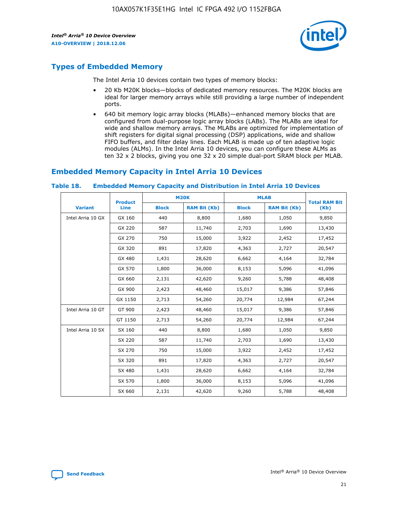

# **Types of Embedded Memory**

The Intel Arria 10 devices contain two types of memory blocks:

- 20 Kb M20K blocks—blocks of dedicated memory resources. The M20K blocks are ideal for larger memory arrays while still providing a large number of independent ports.
- 640 bit memory logic array blocks (MLABs)—enhanced memory blocks that are configured from dual-purpose logic array blocks (LABs). The MLABs are ideal for wide and shallow memory arrays. The MLABs are optimized for implementation of shift registers for digital signal processing (DSP) applications, wide and shallow FIFO buffers, and filter delay lines. Each MLAB is made up of ten adaptive logic modules (ALMs). In the Intel Arria 10 devices, you can configure these ALMs as ten 32 x 2 blocks, giving you one 32 x 20 simple dual-port SRAM block per MLAB.

# **Embedded Memory Capacity in Intel Arria 10 Devices**

|                   | <b>Product</b> |              | <b>M20K</b>         | <b>MLAB</b>  |                     | <b>Total RAM Bit</b> |
|-------------------|----------------|--------------|---------------------|--------------|---------------------|----------------------|
| <b>Variant</b>    | <b>Line</b>    | <b>Block</b> | <b>RAM Bit (Kb)</b> | <b>Block</b> | <b>RAM Bit (Kb)</b> | (Kb)                 |
| Intel Arria 10 GX | GX 160         | 440          | 8,800               | 1,680        | 1,050               | 9,850                |
|                   | GX 220         | 587          | 11,740              | 2,703        | 1,690               | 13,430               |
|                   | GX 270         | 750          | 15,000              | 3,922        | 2,452               | 17,452               |
|                   | GX 320         | 891          | 17,820              | 4,363        | 2,727               | 20,547               |
|                   | GX 480         | 1,431        | 28,620              | 6,662        | 4,164               | 32,784               |
|                   | GX 570         | 1,800        | 36,000              | 8,153        | 5,096               | 41,096               |
|                   | GX 660         | 2,131        | 42,620              | 9,260        | 5,788               | 48,408               |
|                   | GX 900         | 2,423        | 48,460              | 15,017       | 9,386               | 57,846               |
|                   | GX 1150        | 2,713        | 54,260              | 20,774       | 12,984              | 67,244               |
| Intel Arria 10 GT | GT 900         | 2,423        | 48,460              | 15,017       | 9,386               | 57,846               |
|                   | GT 1150        | 2,713        | 54,260              | 20,774       | 12,984              | 67,244               |
| Intel Arria 10 SX | SX 160         | 440          | 8,800               | 1,680        | 1,050               | 9,850                |
|                   | SX 220         | 587          | 11,740              | 2,703        | 1,690               | 13,430               |
|                   | SX 270         | 750          | 15,000              | 3,922        | 2,452               | 17,452               |
|                   | SX 320         | 891          | 17,820              | 4,363        | 2,727               | 20,547               |
|                   | SX 480         | 1,431        | 28,620              | 6,662        | 4,164               | 32,784               |
|                   | SX 570         | 1,800        | 36,000              | 8,153        | 5,096               | 41,096               |
|                   | SX 660         | 2,131        | 42,620              | 9,260        | 5,788               | 48,408               |

#### **Table 18. Embedded Memory Capacity and Distribution in Intel Arria 10 Devices**

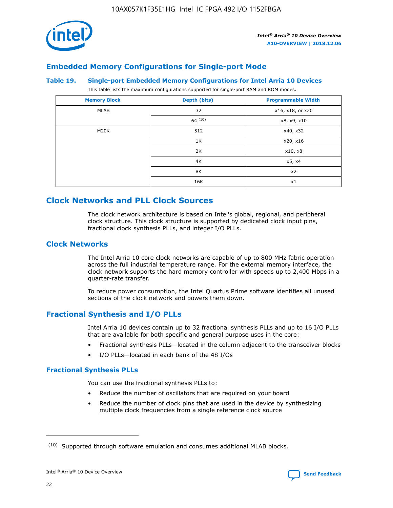

# **Embedded Memory Configurations for Single-port Mode**

#### **Table 19. Single-port Embedded Memory Configurations for Intel Arria 10 Devices**

This table lists the maximum configurations supported for single-port RAM and ROM modes.

| <b>Memory Block</b> | Depth (bits) | <b>Programmable Width</b> |
|---------------------|--------------|---------------------------|
| MLAB                | 32           | x16, x18, or x20          |
|                     | 64(10)       | x8, x9, x10               |
| M20K                | 512          | x40, x32                  |
|                     | 1K           | x20, x16                  |
|                     | 2K           | x10, x8                   |
|                     | 4K           | x5, x4                    |
|                     | 8K           | x2                        |
|                     | 16K          | x1                        |

# **Clock Networks and PLL Clock Sources**

The clock network architecture is based on Intel's global, regional, and peripheral clock structure. This clock structure is supported by dedicated clock input pins, fractional clock synthesis PLLs, and integer I/O PLLs.

# **Clock Networks**

The Intel Arria 10 core clock networks are capable of up to 800 MHz fabric operation across the full industrial temperature range. For the external memory interface, the clock network supports the hard memory controller with speeds up to 2,400 Mbps in a quarter-rate transfer.

To reduce power consumption, the Intel Quartus Prime software identifies all unused sections of the clock network and powers them down.

## **Fractional Synthesis and I/O PLLs**

Intel Arria 10 devices contain up to 32 fractional synthesis PLLs and up to 16 I/O PLLs that are available for both specific and general purpose uses in the core:

- Fractional synthesis PLLs—located in the column adjacent to the transceiver blocks
- I/O PLLs—located in each bank of the 48 I/Os

## **Fractional Synthesis PLLs**

You can use the fractional synthesis PLLs to:

- Reduce the number of oscillators that are required on your board
- Reduce the number of clock pins that are used in the device by synthesizing multiple clock frequencies from a single reference clock source

<sup>(10)</sup> Supported through software emulation and consumes additional MLAB blocks.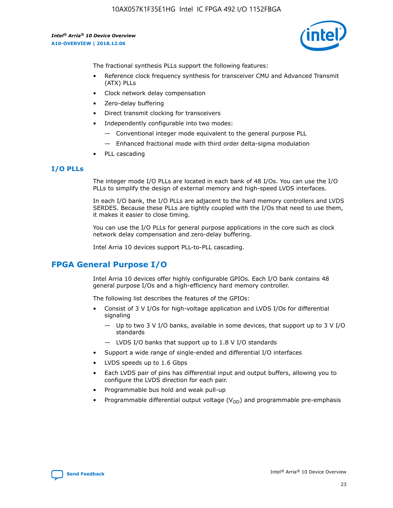

The fractional synthesis PLLs support the following features:

- Reference clock frequency synthesis for transceiver CMU and Advanced Transmit (ATX) PLLs
- Clock network delay compensation
- Zero-delay buffering
- Direct transmit clocking for transceivers
- Independently configurable into two modes:
	- Conventional integer mode equivalent to the general purpose PLL
	- Enhanced fractional mode with third order delta-sigma modulation
- PLL cascading

## **I/O PLLs**

The integer mode I/O PLLs are located in each bank of 48 I/Os. You can use the I/O PLLs to simplify the design of external memory and high-speed LVDS interfaces.

In each I/O bank, the I/O PLLs are adjacent to the hard memory controllers and LVDS SERDES. Because these PLLs are tightly coupled with the I/Os that need to use them, it makes it easier to close timing.

You can use the I/O PLLs for general purpose applications in the core such as clock network delay compensation and zero-delay buffering.

Intel Arria 10 devices support PLL-to-PLL cascading.

# **FPGA General Purpose I/O**

Intel Arria 10 devices offer highly configurable GPIOs. Each I/O bank contains 48 general purpose I/Os and a high-efficiency hard memory controller.

The following list describes the features of the GPIOs:

- Consist of 3 V I/Os for high-voltage application and LVDS I/Os for differential signaling
	- Up to two 3 V I/O banks, available in some devices, that support up to 3 V I/O standards
	- LVDS I/O banks that support up to 1.8 V I/O standards
- Support a wide range of single-ended and differential I/O interfaces
- LVDS speeds up to 1.6 Gbps
- Each LVDS pair of pins has differential input and output buffers, allowing you to configure the LVDS direction for each pair.
- Programmable bus hold and weak pull-up
- Programmable differential output voltage  $(V_{OD})$  and programmable pre-emphasis

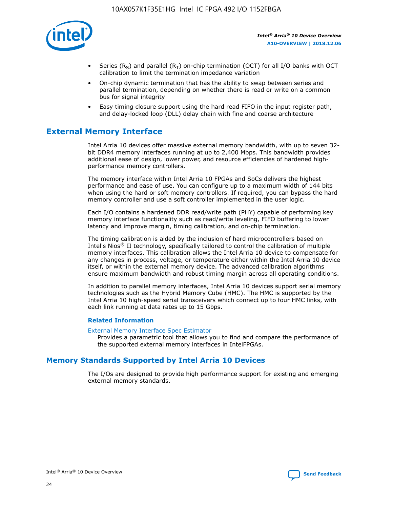

- Series (R<sub>S</sub>) and parallel (R<sub>T</sub>) on-chip termination (OCT) for all I/O banks with OCT calibration to limit the termination impedance variation
- On-chip dynamic termination that has the ability to swap between series and parallel termination, depending on whether there is read or write on a common bus for signal integrity
- Easy timing closure support using the hard read FIFO in the input register path, and delay-locked loop (DLL) delay chain with fine and coarse architecture

# **External Memory Interface**

Intel Arria 10 devices offer massive external memory bandwidth, with up to seven 32 bit DDR4 memory interfaces running at up to 2,400 Mbps. This bandwidth provides additional ease of design, lower power, and resource efficiencies of hardened highperformance memory controllers.

The memory interface within Intel Arria 10 FPGAs and SoCs delivers the highest performance and ease of use. You can configure up to a maximum width of 144 bits when using the hard or soft memory controllers. If required, you can bypass the hard memory controller and use a soft controller implemented in the user logic.

Each I/O contains a hardened DDR read/write path (PHY) capable of performing key memory interface functionality such as read/write leveling, FIFO buffering to lower latency and improve margin, timing calibration, and on-chip termination.

The timing calibration is aided by the inclusion of hard microcontrollers based on Intel's Nios® II technology, specifically tailored to control the calibration of multiple memory interfaces. This calibration allows the Intel Arria 10 device to compensate for any changes in process, voltage, or temperature either within the Intel Arria 10 device itself, or within the external memory device. The advanced calibration algorithms ensure maximum bandwidth and robust timing margin across all operating conditions.

In addition to parallel memory interfaces, Intel Arria 10 devices support serial memory technologies such as the Hybrid Memory Cube (HMC). The HMC is supported by the Intel Arria 10 high-speed serial transceivers which connect up to four HMC links, with each link running at data rates up to 15 Gbps.

#### **Related Information**

#### [External Memory Interface Spec Estimator](http://www.altera.com/technology/memory/estimator/mem-emif-index.html)

Provides a parametric tool that allows you to find and compare the performance of the supported external memory interfaces in IntelFPGAs.

# **Memory Standards Supported by Intel Arria 10 Devices**

The I/Os are designed to provide high performance support for existing and emerging external memory standards.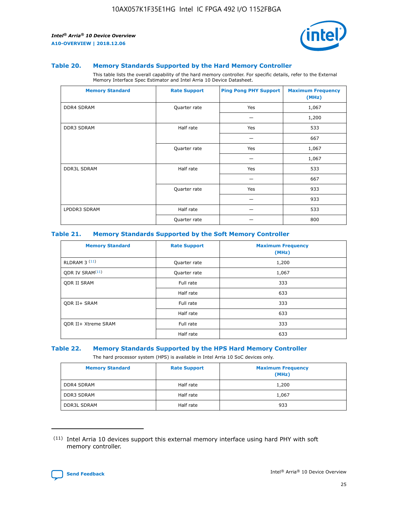

#### **Table 20. Memory Standards Supported by the Hard Memory Controller**

This table lists the overall capability of the hard memory controller. For specific details, refer to the External Memory Interface Spec Estimator and Intel Arria 10 Device Datasheet.

| <b>Memory Standard</b> | <b>Rate Support</b> | <b>Ping Pong PHY Support</b> | <b>Maximum Frequency</b><br>(MHz) |
|------------------------|---------------------|------------------------------|-----------------------------------|
| <b>DDR4 SDRAM</b>      | Quarter rate        | Yes                          | 1,067                             |
|                        |                     |                              | 1,200                             |
| <b>DDR3 SDRAM</b>      | Half rate           | Yes                          | 533                               |
|                        |                     |                              | 667                               |
|                        | Quarter rate        | Yes                          | 1,067                             |
|                        |                     |                              | 1,067                             |
| <b>DDR3L SDRAM</b>     | Half rate           | Yes                          | 533                               |
|                        |                     |                              | 667                               |
|                        | Quarter rate        | Yes                          | 933                               |
|                        |                     |                              | 933                               |
| LPDDR3 SDRAM           | Half rate           |                              | 533                               |
|                        | Quarter rate        |                              | 800                               |

#### **Table 21. Memory Standards Supported by the Soft Memory Controller**

| <b>Memory Standard</b>      | <b>Rate Support</b> | <b>Maximum Frequency</b><br>(MHz) |
|-----------------------------|---------------------|-----------------------------------|
| <b>RLDRAM 3 (11)</b>        | Quarter rate        | 1,200                             |
| ODR IV SRAM <sup>(11)</sup> | Quarter rate        | 1,067                             |
| <b>ODR II SRAM</b>          | Full rate           | 333                               |
|                             | Half rate           | 633                               |
| <b>ODR II+ SRAM</b>         | Full rate           | 333                               |
|                             | Half rate           | 633                               |
| <b>ODR II+ Xtreme SRAM</b>  | Full rate           | 333                               |
|                             | Half rate           | 633                               |

#### **Table 22. Memory Standards Supported by the HPS Hard Memory Controller**

The hard processor system (HPS) is available in Intel Arria 10 SoC devices only.

| <b>Memory Standard</b> | <b>Rate Support</b> | <b>Maximum Frequency</b><br>(MHz) |
|------------------------|---------------------|-----------------------------------|
| <b>DDR4 SDRAM</b>      | Half rate           | 1,200                             |
| <b>DDR3 SDRAM</b>      | Half rate           | 1,067                             |
| <b>DDR3L SDRAM</b>     | Half rate           | 933                               |

<sup>(11)</sup> Intel Arria 10 devices support this external memory interface using hard PHY with soft memory controller.

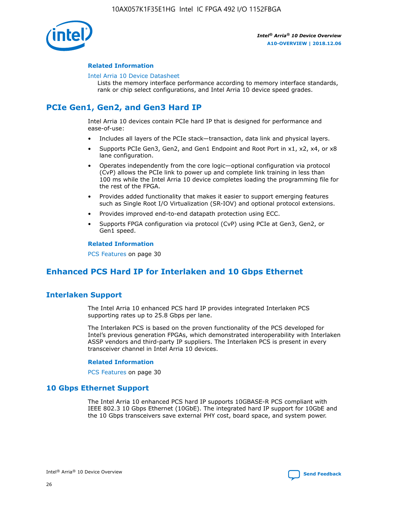

#### **Related Information**

#### [Intel Arria 10 Device Datasheet](https://www.intel.com/content/www/us/en/programmable/documentation/mcn1413182292568.html#mcn1413182153340)

Lists the memory interface performance according to memory interface standards, rank or chip select configurations, and Intel Arria 10 device speed grades.

# **PCIe Gen1, Gen2, and Gen3 Hard IP**

Intel Arria 10 devices contain PCIe hard IP that is designed for performance and ease-of-use:

- Includes all layers of the PCIe stack—transaction, data link and physical layers.
- Supports PCIe Gen3, Gen2, and Gen1 Endpoint and Root Port in x1, x2, x4, or x8 lane configuration.
- Operates independently from the core logic—optional configuration via protocol (CvP) allows the PCIe link to power up and complete link training in less than 100 ms while the Intel Arria 10 device completes loading the programming file for the rest of the FPGA.
- Provides added functionality that makes it easier to support emerging features such as Single Root I/O Virtualization (SR-IOV) and optional protocol extensions.
- Provides improved end-to-end datapath protection using ECC.
- Supports FPGA configuration via protocol (CvP) using PCIe at Gen3, Gen2, or Gen1 speed.

#### **Related Information**

PCS Features on page 30

# **Enhanced PCS Hard IP for Interlaken and 10 Gbps Ethernet**

# **Interlaken Support**

The Intel Arria 10 enhanced PCS hard IP provides integrated Interlaken PCS supporting rates up to 25.8 Gbps per lane.

The Interlaken PCS is based on the proven functionality of the PCS developed for Intel's previous generation FPGAs, which demonstrated interoperability with Interlaken ASSP vendors and third-party IP suppliers. The Interlaken PCS is present in every transceiver channel in Intel Arria 10 devices.

#### **Related Information**

PCS Features on page 30

## **10 Gbps Ethernet Support**

The Intel Arria 10 enhanced PCS hard IP supports 10GBASE-R PCS compliant with IEEE 802.3 10 Gbps Ethernet (10GbE). The integrated hard IP support for 10GbE and the 10 Gbps transceivers save external PHY cost, board space, and system power.

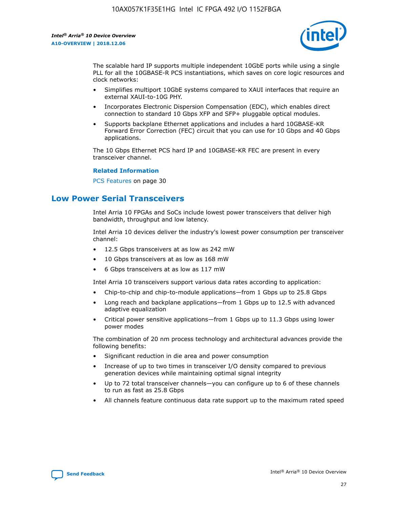

The scalable hard IP supports multiple independent 10GbE ports while using a single PLL for all the 10GBASE-R PCS instantiations, which saves on core logic resources and clock networks:

- Simplifies multiport 10GbE systems compared to XAUI interfaces that require an external XAUI-to-10G PHY.
- Incorporates Electronic Dispersion Compensation (EDC), which enables direct connection to standard 10 Gbps XFP and SFP+ pluggable optical modules.
- Supports backplane Ethernet applications and includes a hard 10GBASE-KR Forward Error Correction (FEC) circuit that you can use for 10 Gbps and 40 Gbps applications.

The 10 Gbps Ethernet PCS hard IP and 10GBASE-KR FEC are present in every transceiver channel.

#### **Related Information**

PCS Features on page 30

# **Low Power Serial Transceivers**

Intel Arria 10 FPGAs and SoCs include lowest power transceivers that deliver high bandwidth, throughput and low latency.

Intel Arria 10 devices deliver the industry's lowest power consumption per transceiver channel:

- 12.5 Gbps transceivers at as low as 242 mW
- 10 Gbps transceivers at as low as 168 mW
- 6 Gbps transceivers at as low as 117 mW

Intel Arria 10 transceivers support various data rates according to application:

- Chip-to-chip and chip-to-module applications—from 1 Gbps up to 25.8 Gbps
- Long reach and backplane applications—from 1 Gbps up to 12.5 with advanced adaptive equalization
- Critical power sensitive applications—from 1 Gbps up to 11.3 Gbps using lower power modes

The combination of 20 nm process technology and architectural advances provide the following benefits:

- Significant reduction in die area and power consumption
- Increase of up to two times in transceiver I/O density compared to previous generation devices while maintaining optimal signal integrity
- Up to 72 total transceiver channels—you can configure up to 6 of these channels to run as fast as 25.8 Gbps
- All channels feature continuous data rate support up to the maximum rated speed

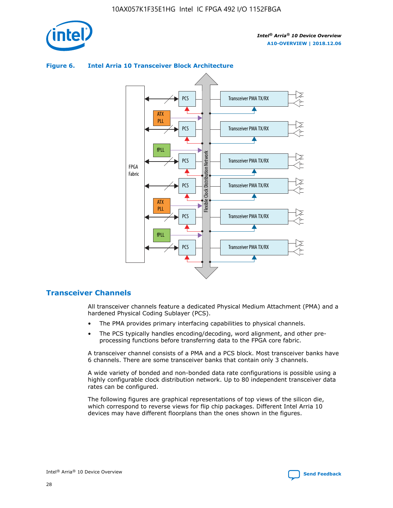

# Transceiver PMA TX/RX PCS ATX PLL Transceiver PMA TX/RX PCS fPLL Network Flexible Clock Distribution Network PCS Transceiver PMA TX/RX FPGA **Clock Distribution** Fabric PCS Transceiver PMA TX/RX ATX Flexible PLL PCS Transceiver PMA TX/RX ▲ fPLL Transceiver PMA TX/RX PCS 4

## **Figure 6. Intel Arria 10 Transceiver Block Architecture**

## **Transceiver Channels**

All transceiver channels feature a dedicated Physical Medium Attachment (PMA) and a hardened Physical Coding Sublayer (PCS).

- The PMA provides primary interfacing capabilities to physical channels.
- The PCS typically handles encoding/decoding, word alignment, and other preprocessing functions before transferring data to the FPGA core fabric.

A transceiver channel consists of a PMA and a PCS block. Most transceiver banks have 6 channels. There are some transceiver banks that contain only 3 channels.

A wide variety of bonded and non-bonded data rate configurations is possible using a highly configurable clock distribution network. Up to 80 independent transceiver data rates can be configured.

The following figures are graphical representations of top views of the silicon die, which correspond to reverse views for flip chip packages. Different Intel Arria 10 devices may have different floorplans than the ones shown in the figures.

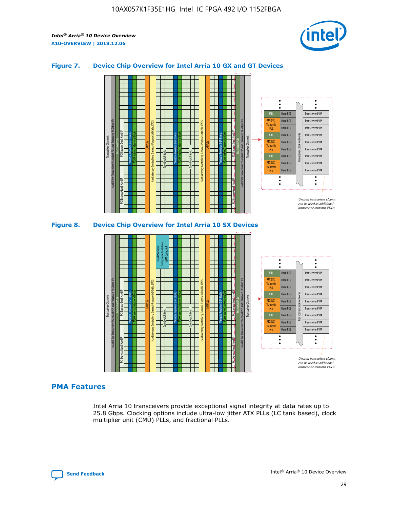

## **Figure 7. Device Chip Overview for Intel Arria 10 GX and GT Devices**





## **PMA Features**

Intel Arria 10 transceivers provide exceptional signal integrity at data rates up to 25.8 Gbps. Clocking options include ultra-low jitter ATX PLLs (LC tank based), clock multiplier unit (CMU) PLLs, and fractional PLLs.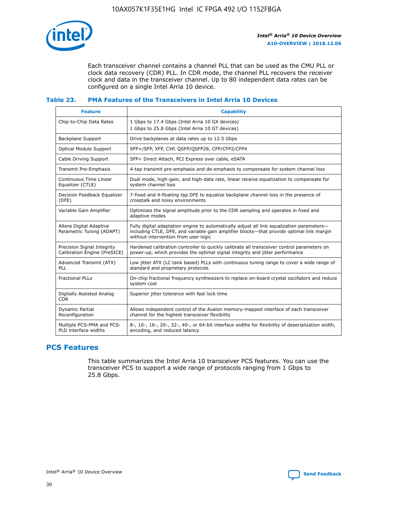

Each transceiver channel contains a channel PLL that can be used as the CMU PLL or clock data recovery (CDR) PLL. In CDR mode, the channel PLL recovers the receiver clock and data in the transceiver channel. Up to 80 independent data rates can be configured on a single Intel Arria 10 device.

# **Table 23. PMA Features of the Transceivers in Intel Arria 10 Devices**

| <b>Feature</b>                                             | <b>Capability</b>                                                                                                                                                                                                             |
|------------------------------------------------------------|-------------------------------------------------------------------------------------------------------------------------------------------------------------------------------------------------------------------------------|
| Chip-to-Chip Data Rates                                    | 1 Gbps to 17.4 Gbps (Intel Arria 10 GX devices)<br>1 Gbps to 25.8 Gbps (Intel Arria 10 GT devices)                                                                                                                            |
| <b>Backplane Support</b>                                   | Drive backplanes at data rates up to 12.5 Gbps                                                                                                                                                                                |
| <b>Optical Module Support</b>                              | SFP+/SFP, XFP, CXP, QSFP/QSFP28, CFP/CFP2/CFP4                                                                                                                                                                                |
| Cable Driving Support                                      | SFP+ Direct Attach, PCI Express over cable, eSATA                                                                                                                                                                             |
| Transmit Pre-Emphasis                                      | 4-tap transmit pre-emphasis and de-emphasis to compensate for system channel loss                                                                                                                                             |
| Continuous Time Linear<br>Equalizer (CTLE)                 | Dual mode, high-gain, and high-data rate, linear receive equalization to compensate for<br>system channel loss                                                                                                                |
| Decision Feedback Equalizer<br>(DFE)                       | 7-fixed and 4-floating tap DFE to equalize backplane channel loss in the presence of<br>crosstalk and noisy environments                                                                                                      |
| Variable Gain Amplifier                                    | Optimizes the signal amplitude prior to the CDR sampling and operates in fixed and<br>adaptive modes                                                                                                                          |
| Altera Digital Adaptive<br>Parametric Tuning (ADAPT)       | Fully digital adaptation engine to automatically adjust all link equalization parameters-<br>including CTLE, DFE, and variable gain amplifier blocks—that provide optimal link margin<br>without intervention from user logic |
| Precision Signal Integrity<br>Calibration Engine (PreSICE) | Hardened calibration controller to quickly calibrate all transceiver control parameters on<br>power-up, which provides the optimal signal integrity and jitter performance                                                    |
| Advanced Transmit (ATX)<br>PLL                             | Low jitter ATX (LC tank based) PLLs with continuous tuning range to cover a wide range of<br>standard and proprietary protocols                                                                                               |
| <b>Fractional PLLs</b>                                     | On-chip fractional frequency synthesizers to replace on-board crystal oscillators and reduce<br>system cost                                                                                                                   |
| Digitally Assisted Analog<br><b>CDR</b>                    | Superior jitter tolerance with fast lock time                                                                                                                                                                                 |
| Dynamic Partial<br>Reconfiguration                         | Allows independent control of the Avalon memory-mapped interface of each transceiver<br>channel for the highest transceiver flexibility                                                                                       |
| Multiple PCS-PMA and PCS-<br>PLD interface widths          | 8-, 10-, 16-, 20-, 32-, 40-, or 64-bit interface widths for flexibility of deserialization width,<br>encoding, and reduced latency                                                                                            |

# **PCS Features**

This table summarizes the Intel Arria 10 transceiver PCS features. You can use the transceiver PCS to support a wide range of protocols ranging from 1 Gbps to 25.8 Gbps.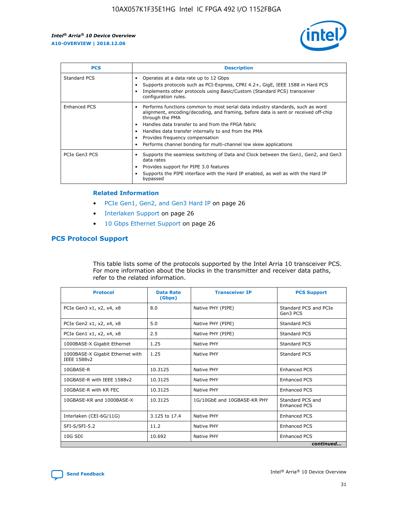

| <b>PCS</b>          | <b>Description</b>                                                                                                                                                                                                                                                                                                                                                                                             |
|---------------------|----------------------------------------------------------------------------------------------------------------------------------------------------------------------------------------------------------------------------------------------------------------------------------------------------------------------------------------------------------------------------------------------------------------|
| Standard PCS        | Operates at a data rate up to 12 Gbps<br>Supports protocols such as PCI-Express, CPRI 4.2+, GigE, IEEE 1588 in Hard PCS<br>Implements other protocols using Basic/Custom (Standard PCS) transceiver<br>configuration rules.                                                                                                                                                                                    |
| <b>Enhanced PCS</b> | Performs functions common to most serial data industry standards, such as word<br>alignment, encoding/decoding, and framing, before data is sent or received off-chip<br>through the PMA<br>• Handles data transfer to and from the FPGA fabric<br>Handles data transfer internally to and from the PMA<br>Provides frequency compensation<br>Performs channel bonding for multi-channel low skew applications |
| PCIe Gen3 PCS       | Supports the seamless switching of Data and Clock between the Gen1, Gen2, and Gen3<br>data rates<br>Provides support for PIPE 3.0 features<br>Supports the PIPE interface with the Hard IP enabled, as well as with the Hard IP<br>bypassed                                                                                                                                                                    |

#### **Related Information**

- PCIe Gen1, Gen2, and Gen3 Hard IP on page 26
- Interlaken Support on page 26
- 10 Gbps Ethernet Support on page 26

# **PCS Protocol Support**

This table lists some of the protocols supported by the Intel Arria 10 transceiver PCS. For more information about the blocks in the transmitter and receiver data paths, refer to the related information.

| <b>Protocol</b>                                 | <b>Data Rate</b><br>(Gbps) | <b>Transceiver IP</b>       | <b>PCS Support</b>                      |
|-------------------------------------------------|----------------------------|-----------------------------|-----------------------------------------|
| PCIe Gen3 x1, x2, x4, x8                        | 8.0                        | Native PHY (PIPE)           | Standard PCS and PCIe<br>Gen3 PCS       |
| PCIe Gen2 x1, x2, x4, x8                        | 5.0                        | Native PHY (PIPE)           | <b>Standard PCS</b>                     |
| PCIe Gen1 x1, x2, x4, x8                        | 2.5                        | Native PHY (PIPE)           | Standard PCS                            |
| 1000BASE-X Gigabit Ethernet                     | 1.25                       | Native PHY                  | <b>Standard PCS</b>                     |
| 1000BASE-X Gigabit Ethernet with<br>IEEE 1588v2 | 1.25                       | Native PHY                  | Standard PCS                            |
| 10GBASE-R                                       | 10.3125                    | Native PHY                  | <b>Enhanced PCS</b>                     |
| 10GBASE-R with IEEE 1588v2                      | 10.3125                    | Native PHY                  | <b>Enhanced PCS</b>                     |
| 10GBASE-R with KR FEC                           | 10.3125                    | Native PHY                  | <b>Enhanced PCS</b>                     |
| 10GBASE-KR and 1000BASE-X                       | 10.3125                    | 1G/10GbE and 10GBASE-KR PHY | Standard PCS and<br><b>Enhanced PCS</b> |
| Interlaken (CEI-6G/11G)                         | 3.125 to 17.4              | Native PHY                  | <b>Enhanced PCS</b>                     |
| SFI-S/SFI-5.2                                   | 11.2                       | Native PHY                  | <b>Enhanced PCS</b>                     |
| $10G$ SDI                                       | 10.692                     | Native PHY                  | <b>Enhanced PCS</b>                     |
|                                                 |                            |                             | continued                               |

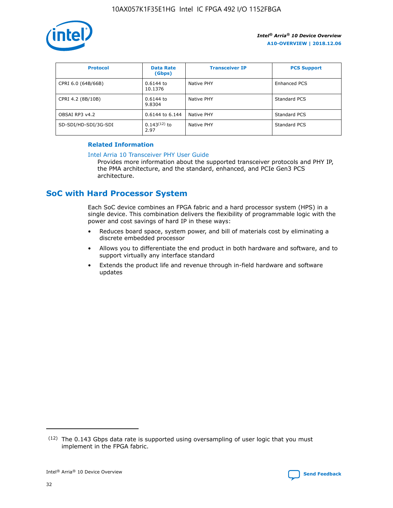

| <b>Protocol</b>      | <b>Data Rate</b><br>(Gbps) | <b>Transceiver IP</b> | <b>PCS Support</b> |
|----------------------|----------------------------|-----------------------|--------------------|
| CPRI 6.0 (64B/66B)   | 0.6144 to<br>10.1376       | Native PHY            | Enhanced PCS       |
| CPRI 4.2 (8B/10B)    | 0.6144 to<br>9.8304        | Native PHY            | Standard PCS       |
| OBSAI RP3 v4.2       | 0.6144 to 6.144            | Native PHY            | Standard PCS       |
| SD-SDI/HD-SDI/3G-SDI | $0.143(12)$ to<br>2.97     | Native PHY            | Standard PCS       |

## **Related Information**

#### [Intel Arria 10 Transceiver PHY User Guide](https://www.intel.com/content/www/us/en/programmable/documentation/nik1398707230472.html#nik1398707091164)

Provides more information about the supported transceiver protocols and PHY IP, the PMA architecture, and the standard, enhanced, and PCIe Gen3 PCS architecture.

# **SoC with Hard Processor System**

Each SoC device combines an FPGA fabric and a hard processor system (HPS) in a single device. This combination delivers the flexibility of programmable logic with the power and cost savings of hard IP in these ways:

- Reduces board space, system power, and bill of materials cost by eliminating a discrete embedded processor
- Allows you to differentiate the end product in both hardware and software, and to support virtually any interface standard
- Extends the product life and revenue through in-field hardware and software updates

<sup>(12)</sup> The 0.143 Gbps data rate is supported using oversampling of user logic that you must implement in the FPGA fabric.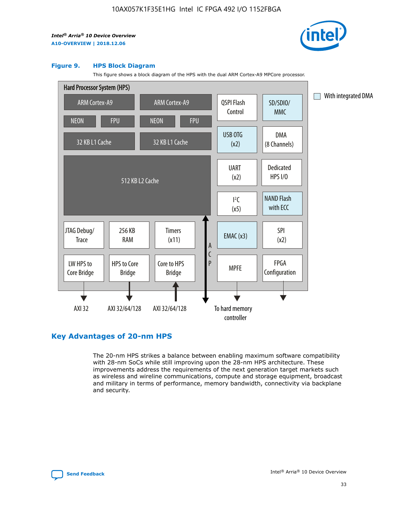

#### **Figure 9. HPS Block Diagram**

This figure shows a block diagram of the HPS with the dual ARM Cortex-A9 MPCore processor.



# **Key Advantages of 20-nm HPS**

The 20-nm HPS strikes a balance between enabling maximum software compatibility with 28-nm SoCs while still improving upon the 28-nm HPS architecture. These improvements address the requirements of the next generation target markets such as wireless and wireline communications, compute and storage equipment, broadcast and military in terms of performance, memory bandwidth, connectivity via backplane and security.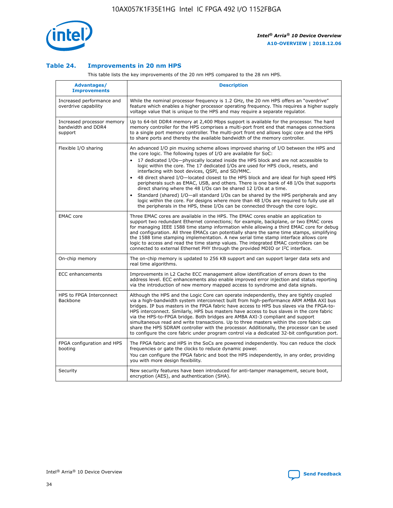

## **Table 24. Improvements in 20 nm HPS**

This table lists the key improvements of the 20 nm HPS compared to the 28 nm HPS.

| Advantages/<br><b>Improvements</b>                          | <b>Description</b>                                                                                                                                                                                                                                                                                                                                                                                                                                                                                                                                                                                                                                                                                                                                                                                                                                                                                                      |
|-------------------------------------------------------------|-------------------------------------------------------------------------------------------------------------------------------------------------------------------------------------------------------------------------------------------------------------------------------------------------------------------------------------------------------------------------------------------------------------------------------------------------------------------------------------------------------------------------------------------------------------------------------------------------------------------------------------------------------------------------------------------------------------------------------------------------------------------------------------------------------------------------------------------------------------------------------------------------------------------------|
| Increased performance and<br>overdrive capability           | While the nominal processor frequency is 1.2 GHz, the 20 nm HPS offers an "overdrive"<br>feature which enables a higher processor operating frequency. This requires a higher supply<br>voltage value that is unique to the HPS and may require a separate regulator.                                                                                                                                                                                                                                                                                                                                                                                                                                                                                                                                                                                                                                                   |
| Increased processor memory<br>bandwidth and DDR4<br>support | Up to 64-bit DDR4 memory at 2,400 Mbps support is available for the processor. The hard<br>memory controller for the HPS comprises a multi-port front end that manages connections<br>to a single port memory controller. The multi-port front end allows logic core and the HPS<br>to share ports and thereby the available bandwidth of the memory controller.                                                                                                                                                                                                                                                                                                                                                                                                                                                                                                                                                        |
| Flexible I/O sharing                                        | An advanced I/O pin muxing scheme allows improved sharing of I/O between the HPS and<br>the core logic. The following types of I/O are available for SoC:<br>17 dedicated I/Os-physically located inside the HPS block and are not accessible to<br>logic within the core. The 17 dedicated I/Os are used for HPS clock, resets, and<br>interfacing with boot devices, QSPI, and SD/MMC.<br>48 direct shared I/O-located closest to the HPS block and are ideal for high speed HPS<br>peripherals such as EMAC, USB, and others. There is one bank of 48 I/Os that supports<br>direct sharing where the 48 I/Os can be shared 12 I/Os at a time.<br>Standard (shared) I/O-all standard I/Os can be shared by the HPS peripherals and any<br>logic within the core. For designs where more than 48 I/Os are reguired to fully use all<br>the peripherals in the HPS, these I/Os can be connected through the core logic. |
| <b>EMAC</b> core                                            | Three EMAC cores are available in the HPS. The EMAC cores enable an application to<br>support two redundant Ethernet connections; for example, backplane, or two EMAC cores<br>for managing IEEE 1588 time stamp information while allowing a third EMAC core for debug<br>and configuration. All three EMACs can potentially share the same time stamps, simplifying<br>the 1588 time stamping implementation. A new serial time stamp interface allows core<br>logic to access and read the time stamp values. The integrated EMAC controllers can be<br>connected to external Ethernet PHY through the provided MDIO or I <sup>2</sup> C interface.                                                                                                                                                                                                                                                                  |
| On-chip memory                                              | The on-chip memory is updated to 256 KB support and can support larger data sets and<br>real time algorithms.                                                                                                                                                                                                                                                                                                                                                                                                                                                                                                                                                                                                                                                                                                                                                                                                           |
| <b>ECC</b> enhancements                                     | Improvements in L2 Cache ECC management allow identification of errors down to the<br>address level. ECC enhancements also enable improved error injection and status reporting<br>via the introduction of new memory mapped access to syndrome and data signals.                                                                                                                                                                                                                                                                                                                                                                                                                                                                                                                                                                                                                                                       |
| HPS to FPGA Interconnect<br>Backbone                        | Although the HPS and the Logic Core can operate independently, they are tightly coupled<br>via a high-bandwidth system interconnect built from high-performance ARM AMBA AXI bus<br>bridges. IP bus masters in the FPGA fabric have access to HPS bus slaves via the FPGA-to-<br>HPS interconnect. Similarly, HPS bus masters have access to bus slaves in the core fabric<br>via the HPS-to-FPGA bridge. Both bridges are AMBA AXI-3 compliant and support<br>simultaneous read and write transactions. Up to three masters within the core fabric can<br>share the HPS SDRAM controller with the processor. Additionally, the processor can be used<br>to configure the core fabric under program control via a dedicated 32-bit configuration port.                                                                                                                                                                  |
| FPGA configuration and HPS<br>booting                       | The FPGA fabric and HPS in the SoCs are powered independently. You can reduce the clock<br>frequencies or gate the clocks to reduce dynamic power.<br>You can configure the FPGA fabric and boot the HPS independently, in any order, providing<br>you with more design flexibility.                                                                                                                                                                                                                                                                                                                                                                                                                                                                                                                                                                                                                                    |
| Security                                                    | New security features have been introduced for anti-tamper management, secure boot,<br>encryption (AES), and authentication (SHA).                                                                                                                                                                                                                                                                                                                                                                                                                                                                                                                                                                                                                                                                                                                                                                                      |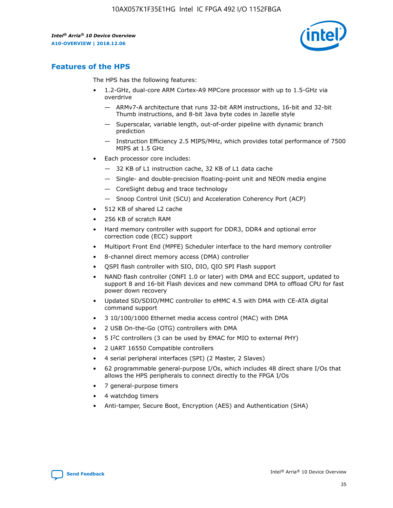

# **Features of the HPS**

The HPS has the following features:

- 1.2-GHz, dual-core ARM Cortex-A9 MPCore processor with up to 1.5-GHz via overdrive
	- ARMv7-A architecture that runs 32-bit ARM instructions, 16-bit and 32-bit Thumb instructions, and 8-bit Java byte codes in Jazelle style
	- Superscalar, variable length, out-of-order pipeline with dynamic branch prediction
	- Instruction Efficiency 2.5 MIPS/MHz, which provides total performance of 7500 MIPS at 1.5 GHz
- Each processor core includes:
	- 32 KB of L1 instruction cache, 32 KB of L1 data cache
	- Single- and double-precision floating-point unit and NEON media engine
	- CoreSight debug and trace technology
	- Snoop Control Unit (SCU) and Acceleration Coherency Port (ACP)
- 512 KB of shared L2 cache
- 256 KB of scratch RAM
- Hard memory controller with support for DDR3, DDR4 and optional error correction code (ECC) support
- Multiport Front End (MPFE) Scheduler interface to the hard memory controller
- 8-channel direct memory access (DMA) controller
- QSPI flash controller with SIO, DIO, QIO SPI Flash support
- NAND flash controller (ONFI 1.0 or later) with DMA and ECC support, updated to support 8 and 16-bit Flash devices and new command DMA to offload CPU for fast power down recovery
- Updated SD/SDIO/MMC controller to eMMC 4.5 with DMA with CE-ATA digital command support
- 3 10/100/1000 Ethernet media access control (MAC) with DMA
- 2 USB On-the-Go (OTG) controllers with DMA
- $\bullet$  5 I<sup>2</sup>C controllers (3 can be used by EMAC for MIO to external PHY)
- 2 UART 16550 Compatible controllers
- 4 serial peripheral interfaces (SPI) (2 Master, 2 Slaves)
- 62 programmable general-purpose I/Os, which includes 48 direct share I/Os that allows the HPS peripherals to connect directly to the FPGA I/Os
- 7 general-purpose timers
- 4 watchdog timers
- Anti-tamper, Secure Boot, Encryption (AES) and Authentication (SHA)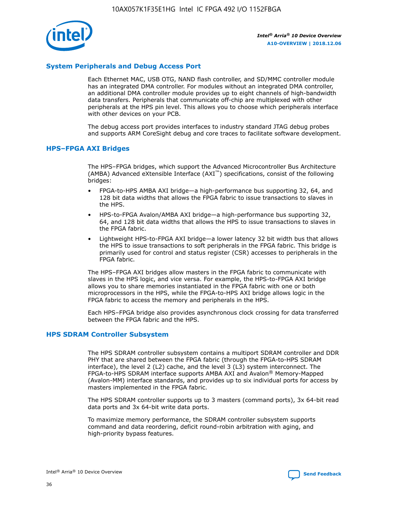

## **System Peripherals and Debug Access Port**

Each Ethernet MAC, USB OTG, NAND flash controller, and SD/MMC controller module has an integrated DMA controller. For modules without an integrated DMA controller, an additional DMA controller module provides up to eight channels of high-bandwidth data transfers. Peripherals that communicate off-chip are multiplexed with other peripherals at the HPS pin level. This allows you to choose which peripherals interface with other devices on your PCB.

The debug access port provides interfaces to industry standard JTAG debug probes and supports ARM CoreSight debug and core traces to facilitate software development.

#### **HPS–FPGA AXI Bridges**

The HPS–FPGA bridges, which support the Advanced Microcontroller Bus Architecture (AMBA) Advanced eXtensible Interface (AXI™) specifications, consist of the following bridges:

- FPGA-to-HPS AMBA AXI bridge—a high-performance bus supporting 32, 64, and 128 bit data widths that allows the FPGA fabric to issue transactions to slaves in the HPS.
- HPS-to-FPGA Avalon/AMBA AXI bridge—a high-performance bus supporting 32, 64, and 128 bit data widths that allows the HPS to issue transactions to slaves in the FPGA fabric.
- Lightweight HPS-to-FPGA AXI bridge—a lower latency 32 bit width bus that allows the HPS to issue transactions to soft peripherals in the FPGA fabric. This bridge is primarily used for control and status register (CSR) accesses to peripherals in the FPGA fabric.

The HPS–FPGA AXI bridges allow masters in the FPGA fabric to communicate with slaves in the HPS logic, and vice versa. For example, the HPS-to-FPGA AXI bridge allows you to share memories instantiated in the FPGA fabric with one or both microprocessors in the HPS, while the FPGA-to-HPS AXI bridge allows logic in the FPGA fabric to access the memory and peripherals in the HPS.

Each HPS–FPGA bridge also provides asynchronous clock crossing for data transferred between the FPGA fabric and the HPS.

#### **HPS SDRAM Controller Subsystem**

The HPS SDRAM controller subsystem contains a multiport SDRAM controller and DDR PHY that are shared between the FPGA fabric (through the FPGA-to-HPS SDRAM interface), the level 2 (L2) cache, and the level 3 (L3) system interconnect. The FPGA-to-HPS SDRAM interface supports AMBA AXI and Avalon® Memory-Mapped (Avalon-MM) interface standards, and provides up to six individual ports for access by masters implemented in the FPGA fabric.

The HPS SDRAM controller supports up to 3 masters (command ports), 3x 64-bit read data ports and 3x 64-bit write data ports.

To maximize memory performance, the SDRAM controller subsystem supports command and data reordering, deficit round-robin arbitration with aging, and high-priority bypass features.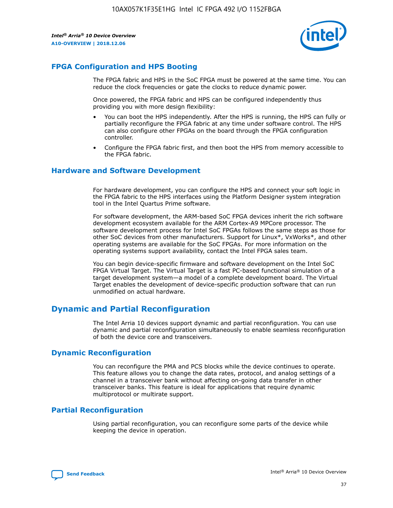

# **FPGA Configuration and HPS Booting**

The FPGA fabric and HPS in the SoC FPGA must be powered at the same time. You can reduce the clock frequencies or gate the clocks to reduce dynamic power.

Once powered, the FPGA fabric and HPS can be configured independently thus providing you with more design flexibility:

- You can boot the HPS independently. After the HPS is running, the HPS can fully or partially reconfigure the FPGA fabric at any time under software control. The HPS can also configure other FPGAs on the board through the FPGA configuration controller.
- Configure the FPGA fabric first, and then boot the HPS from memory accessible to the FPGA fabric.

## **Hardware and Software Development**

For hardware development, you can configure the HPS and connect your soft logic in the FPGA fabric to the HPS interfaces using the Platform Designer system integration tool in the Intel Quartus Prime software.

For software development, the ARM-based SoC FPGA devices inherit the rich software development ecosystem available for the ARM Cortex-A9 MPCore processor. The software development process for Intel SoC FPGAs follows the same steps as those for other SoC devices from other manufacturers. Support for Linux\*, VxWorks\*, and other operating systems are available for the SoC FPGAs. For more information on the operating systems support availability, contact the Intel FPGA sales team.

You can begin device-specific firmware and software development on the Intel SoC FPGA Virtual Target. The Virtual Target is a fast PC-based functional simulation of a target development system—a model of a complete development board. The Virtual Target enables the development of device-specific production software that can run unmodified on actual hardware.

# **Dynamic and Partial Reconfiguration**

The Intel Arria 10 devices support dynamic and partial reconfiguration. You can use dynamic and partial reconfiguration simultaneously to enable seamless reconfiguration of both the device core and transceivers.

# **Dynamic Reconfiguration**

You can reconfigure the PMA and PCS blocks while the device continues to operate. This feature allows you to change the data rates, protocol, and analog settings of a channel in a transceiver bank without affecting on-going data transfer in other transceiver banks. This feature is ideal for applications that require dynamic multiprotocol or multirate support.

# **Partial Reconfiguration**

Using partial reconfiguration, you can reconfigure some parts of the device while keeping the device in operation.

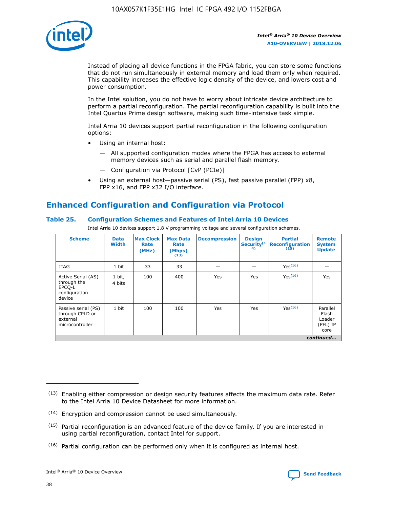

Instead of placing all device functions in the FPGA fabric, you can store some functions that do not run simultaneously in external memory and load them only when required. This capability increases the effective logic density of the device, and lowers cost and power consumption.

In the Intel solution, you do not have to worry about intricate device architecture to perform a partial reconfiguration. The partial reconfiguration capability is built into the Intel Quartus Prime design software, making such time-intensive task simple.

Intel Arria 10 devices support partial reconfiguration in the following configuration options:

- Using an internal host:
	- All supported configuration modes where the FPGA has access to external memory devices such as serial and parallel flash memory.
	- Configuration via Protocol [CvP (PCIe)]
- Using an external host—passive serial (PS), fast passive parallel (FPP) x8, FPP x16, and FPP x32 I/O interface.

# **Enhanced Configuration and Configuration via Protocol**

## **Table 25. Configuration Schemes and Features of Intel Arria 10 Devices**

Intel Arria 10 devices support 1.8 V programming voltage and several configuration schemes.

| <b>Scheme</b>                                                          | <b>Data</b><br><b>Width</b> | <b>Max Clock</b><br>Rate<br>(MHz) | <b>Max Data</b><br>Rate<br>(Mbps)<br>(13) | <b>Decompression</b> | <b>Design</b><br>Security <sup>(1</sup><br>4) | <b>Partial</b><br>Reconfiguration<br>(15) | <b>Remote</b><br><b>System</b><br><b>Update</b> |
|------------------------------------------------------------------------|-----------------------------|-----------------------------------|-------------------------------------------|----------------------|-----------------------------------------------|-------------------------------------------|-------------------------------------------------|
| <b>JTAG</b>                                                            | 1 bit                       | 33                                | 33                                        |                      |                                               | Yes(16)                                   |                                                 |
| Active Serial (AS)<br>through the<br>EPCO-L<br>configuration<br>device | 1 bit,<br>4 bits            | 100                               | 400                                       | Yes                  | Yes                                           | Yes(16)                                   | Yes                                             |
| Passive serial (PS)<br>through CPLD or<br>external<br>microcontroller  | 1 bit                       | 100                               | 100                                       | Yes                  | Yes                                           | Yes <sup>(16)</sup>                       | Parallel<br>Flash<br>Loader<br>(PFL) IP<br>core |
|                                                                        |                             |                                   |                                           |                      |                                               |                                           | continued                                       |

<sup>(13)</sup> Enabling either compression or design security features affects the maximum data rate. Refer to the Intel Arria 10 Device Datasheet for more information.

<sup>(14)</sup> Encryption and compression cannot be used simultaneously.

 $(15)$  Partial reconfiguration is an advanced feature of the device family. If you are interested in using partial reconfiguration, contact Intel for support.

 $(16)$  Partial configuration can be performed only when it is configured as internal host.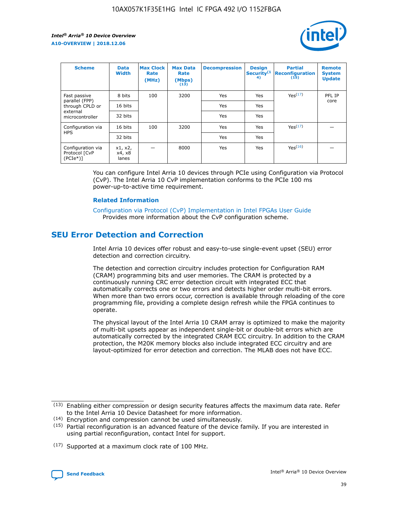

| <b>Scheme</b>                                   | <b>Data</b><br><b>Width</b> | <b>Max Clock</b><br>Rate<br>(MHz) | <b>Max Data</b><br>Rate<br>(Mbps)<br>(13) | <b>Decompression</b> | <b>Design</b><br>Security <sup>(1</sup><br>4) | <b>Partial</b><br><b>Reconfiguration</b><br>(15) | <b>Remote</b><br><b>System</b><br><b>Update</b> |
|-------------------------------------------------|-----------------------------|-----------------------------------|-------------------------------------------|----------------------|-----------------------------------------------|--------------------------------------------------|-------------------------------------------------|
| Fast passive                                    | 8 bits                      | 100                               | 3200                                      | Yes                  | Yes                                           | Yes <sup>(17)</sup>                              | PFL IP                                          |
| parallel (FPP)<br>through CPLD or               | 16 bits                     |                                   |                                           | Yes                  | Yes                                           |                                                  | core                                            |
| external<br>microcontroller                     | 32 bits                     |                                   |                                           | Yes                  | Yes                                           |                                                  |                                                 |
| Configuration via                               | 16 bits                     | 100                               | 3200                                      | Yes                  | Yes                                           | Yes <sup>(17)</sup>                              |                                                 |
| <b>HPS</b>                                      | 32 bits                     |                                   |                                           | Yes                  | Yes                                           |                                                  |                                                 |
| Configuration via<br>Protocol [CvP<br>$(PCIe*)$ | x1, x2,<br>x4, x8<br>lanes  |                                   | 8000                                      | Yes                  | Yes                                           | Yes <sup>(16)</sup>                              |                                                 |

You can configure Intel Arria 10 devices through PCIe using Configuration via Protocol (CvP). The Intel Arria 10 CvP implementation conforms to the PCIe 100 ms power-up-to-active time requirement.

#### **Related Information**

[Configuration via Protocol \(CvP\) Implementation in Intel FPGAs User Guide](https://www.intel.com/content/www/us/en/programmable/documentation/dsu1441819344145.html#dsu1442269728522) Provides more information about the CvP configuration scheme.

# **SEU Error Detection and Correction**

Intel Arria 10 devices offer robust and easy-to-use single-event upset (SEU) error detection and correction circuitry.

The detection and correction circuitry includes protection for Configuration RAM (CRAM) programming bits and user memories. The CRAM is protected by a continuously running CRC error detection circuit with integrated ECC that automatically corrects one or two errors and detects higher order multi-bit errors. When more than two errors occur, correction is available through reloading of the core programming file, providing a complete design refresh while the FPGA continues to operate.

The physical layout of the Intel Arria 10 CRAM array is optimized to make the majority of multi-bit upsets appear as independent single-bit or double-bit errors which are automatically corrected by the integrated CRAM ECC circuitry. In addition to the CRAM protection, the M20K memory blocks also include integrated ECC circuitry and are layout-optimized for error detection and correction. The MLAB does not have ECC.

(14) Encryption and compression cannot be used simultaneously.

<sup>(17)</sup> Supported at a maximum clock rate of 100 MHz.



 $(13)$  Enabling either compression or design security features affects the maximum data rate. Refer to the Intel Arria 10 Device Datasheet for more information.

 $(15)$  Partial reconfiguration is an advanced feature of the device family. If you are interested in using partial reconfiguration, contact Intel for support.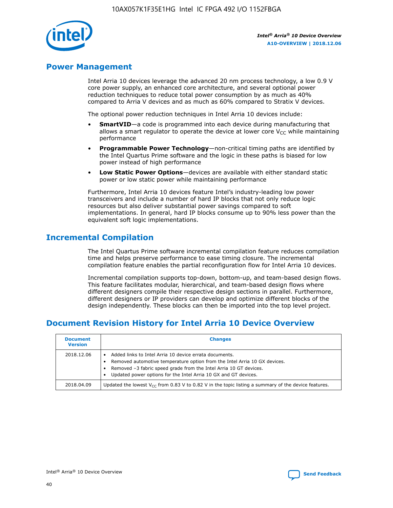

# **Power Management**

Intel Arria 10 devices leverage the advanced 20 nm process technology, a low 0.9 V core power supply, an enhanced core architecture, and several optional power reduction techniques to reduce total power consumption by as much as 40% compared to Arria V devices and as much as 60% compared to Stratix V devices.

The optional power reduction techniques in Intel Arria 10 devices include:

- **SmartVID**—a code is programmed into each device during manufacturing that allows a smart regulator to operate the device at lower core  $V_{CC}$  while maintaining performance
- **Programmable Power Technology**—non-critical timing paths are identified by the Intel Quartus Prime software and the logic in these paths is biased for low power instead of high performance
- **Low Static Power Options**—devices are available with either standard static power or low static power while maintaining performance

Furthermore, Intel Arria 10 devices feature Intel's industry-leading low power transceivers and include a number of hard IP blocks that not only reduce logic resources but also deliver substantial power savings compared to soft implementations. In general, hard IP blocks consume up to 90% less power than the equivalent soft logic implementations.

# **Incremental Compilation**

The Intel Quartus Prime software incremental compilation feature reduces compilation time and helps preserve performance to ease timing closure. The incremental compilation feature enables the partial reconfiguration flow for Intel Arria 10 devices.

Incremental compilation supports top-down, bottom-up, and team-based design flows. This feature facilitates modular, hierarchical, and team-based design flows where different designers compile their respective design sections in parallel. Furthermore, different designers or IP providers can develop and optimize different blocks of the design independently. These blocks can then be imported into the top level project.

# **Document Revision History for Intel Arria 10 Device Overview**

| <b>Document</b><br><b>Version</b> | <b>Changes</b>                                                                                                                                                                                                                                                              |
|-----------------------------------|-----------------------------------------------------------------------------------------------------------------------------------------------------------------------------------------------------------------------------------------------------------------------------|
| 2018.12.06                        | Added links to Intel Arria 10 device errata documents.<br>Removed automotive temperature option from the Intel Arria 10 GX devices.<br>Removed -3 fabric speed grade from the Intel Arria 10 GT devices.<br>Updated power options for the Intel Arria 10 GX and GT devices. |
| 2018.04.09                        | Updated the lowest $V_{CC}$ from 0.83 V to 0.82 V in the topic listing a summary of the device features.                                                                                                                                                                    |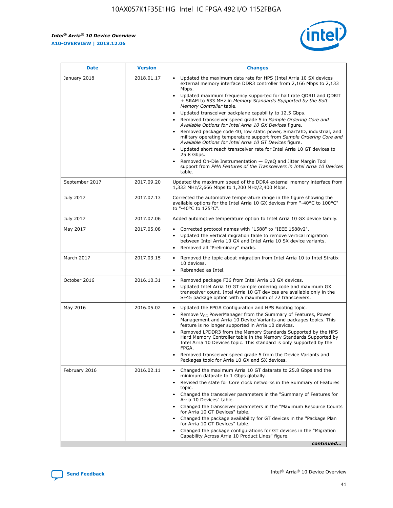*Intel® Arria® 10 Device Overview* **A10-OVERVIEW | 2018.12.06**



| <b>Date</b>    | <b>Version</b> | <b>Changes</b>                                                                                                                                                                                                                                                                                                                                                                                                                                                                                                                                                                                                                                                                                                                                                                                                                                                                                                                                                                         |
|----------------|----------------|----------------------------------------------------------------------------------------------------------------------------------------------------------------------------------------------------------------------------------------------------------------------------------------------------------------------------------------------------------------------------------------------------------------------------------------------------------------------------------------------------------------------------------------------------------------------------------------------------------------------------------------------------------------------------------------------------------------------------------------------------------------------------------------------------------------------------------------------------------------------------------------------------------------------------------------------------------------------------------------|
| January 2018   | 2018.01.17     | Updated the maximum data rate for HPS (Intel Arria 10 SX devices<br>external memory interface DDR3 controller from 2,166 Mbps to 2,133<br>Mbps.<br>Updated maximum frequency supported for half rate QDRII and QDRII<br>+ SRAM to 633 MHz in Memory Standards Supported by the Soft<br>Memory Controller table.<br>Updated transceiver backplane capability to 12.5 Gbps.<br>$\bullet$<br>Removed transceiver speed grade 5 in Sample Ordering Core and<br>$\bullet$<br>Available Options for Intel Arria 10 GX Devices figure.<br>Removed package code 40, low static power, SmartVID, industrial, and<br>military operating temperature support from Sample Ordering Core and<br>Available Options for Intel Arria 10 GT Devices figure.<br>Updated short reach transceiver rate for Intel Arria 10 GT devices to<br>25.8 Gbps.<br>Removed On-Die Instrumentation - EyeQ and Jitter Margin Tool<br>support from PMA Features of the Transceivers in Intel Arria 10 Devices<br>table. |
| September 2017 | 2017.09.20     | Updated the maximum speed of the DDR4 external memory interface from<br>1,333 MHz/2,666 Mbps to 1,200 MHz/2,400 Mbps.                                                                                                                                                                                                                                                                                                                                                                                                                                                                                                                                                                                                                                                                                                                                                                                                                                                                  |
| July 2017      | 2017.07.13     | Corrected the automotive temperature range in the figure showing the<br>available options for the Intel Arria 10 GX devices from "-40°C to 100°C"<br>to "-40°C to 125°C".                                                                                                                                                                                                                                                                                                                                                                                                                                                                                                                                                                                                                                                                                                                                                                                                              |
| July 2017      | 2017.07.06     | Added automotive temperature option to Intel Arria 10 GX device family.                                                                                                                                                                                                                                                                                                                                                                                                                                                                                                                                                                                                                                                                                                                                                                                                                                                                                                                |
| May 2017       | 2017.05.08     | Corrected protocol names with "1588" to "IEEE 1588v2".<br>$\bullet$<br>Updated the vertical migration table to remove vertical migration<br>$\bullet$<br>between Intel Arria 10 GX and Intel Arria 10 SX device variants.<br>Removed all "Preliminary" marks.<br>$\bullet$                                                                                                                                                                                                                                                                                                                                                                                                                                                                                                                                                                                                                                                                                                             |
| March 2017     | 2017.03.15     | Removed the topic about migration from Intel Arria 10 to Intel Stratix<br>$\bullet$<br>10 devices.<br>Rebranded as Intel.<br>$\bullet$                                                                                                                                                                                                                                                                                                                                                                                                                                                                                                                                                                                                                                                                                                                                                                                                                                                 |
| October 2016   | 2016.10.31     | Removed package F36 from Intel Arria 10 GX devices.<br>Updated Intel Arria 10 GT sample ordering code and maximum GX<br>$\bullet$<br>transceiver count. Intel Arria 10 GT devices are available only in the<br>SF45 package option with a maximum of 72 transceivers.                                                                                                                                                                                                                                                                                                                                                                                                                                                                                                                                                                                                                                                                                                                  |
| May 2016       | 2016.05.02     | Updated the FPGA Configuration and HPS Booting topic.<br>$\bullet$<br>Remove V <sub>CC</sub> PowerManager from the Summary of Features, Power<br>Management and Arria 10 Device Variants and packages topics. This<br>feature is no longer supported in Arria 10 devices.<br>Removed LPDDR3 from the Memory Standards Supported by the HPS<br>Hard Memory Controller table in the Memory Standards Supported by<br>Intel Arria 10 Devices topic. This standard is only supported by the<br>FPGA.<br>Removed transceiver speed grade 5 from the Device Variants and<br>Packages topic for Arria 10 GX and SX devices.                                                                                                                                                                                                                                                                                                                                                                   |
| February 2016  | 2016.02.11     | Changed the maximum Arria 10 GT datarate to 25.8 Gbps and the<br>minimum datarate to 1 Gbps globally.<br>Revised the state for Core clock networks in the Summary of Features<br>$\bullet$<br>topic.<br>Changed the transceiver parameters in the "Summary of Features for<br>$\bullet$<br>Arria 10 Devices" table.<br>• Changed the transceiver parameters in the "Maximum Resource Counts<br>for Arria 10 GT Devices" table.<br>Changed the package availability for GT devices in the "Package Plan<br>for Arria 10 GT Devices" table.<br>Changed the package configurations for GT devices in the "Migration"<br>Capability Across Arria 10 Product Lines" figure.<br>continued                                                                                                                                                                                                                                                                                                    |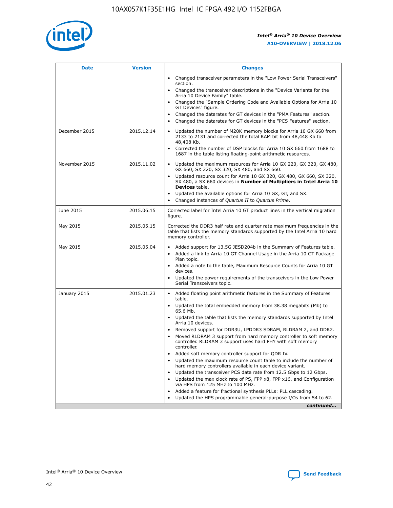

| <b>Date</b>   | <b>Version</b> | <b>Changes</b>                                                                                                                                                               |
|---------------|----------------|------------------------------------------------------------------------------------------------------------------------------------------------------------------------------|
|               |                | Changed transceiver parameters in the "Low Power Serial Transceivers"<br>$\bullet$<br>section.                                                                               |
|               |                | • Changed the transceiver descriptions in the "Device Variants for the<br>Arria 10 Device Family" table.                                                                     |
|               |                | • Changed the "Sample Ordering Code and Available Options for Arria 10<br>GT Devices" figure.                                                                                |
|               |                | Changed the datarates for GT devices in the "PMA Features" section.                                                                                                          |
|               |                | Changed the datarates for GT devices in the "PCS Features" section.<br>$\bullet$                                                                                             |
| December 2015 | 2015.12.14     | Updated the number of M20K memory blocks for Arria 10 GX 660 from<br>2133 to 2131 and corrected the total RAM bit from 48,448 Kb to<br>48,408 Kb.                            |
|               |                | Corrected the number of DSP blocks for Arria 10 GX 660 from 1688 to<br>$\bullet$<br>1687 in the table listing floating-point arithmetic resources.                           |
| November 2015 | 2015.11.02     | Updated the maximum resources for Arria 10 GX 220, GX 320, GX 480,<br>GX 660, SX 220, SX 320, SX 480, and SX 660.                                                            |
|               |                | Updated resource count for Arria 10 GX 320, GX 480, GX 660, SX 320,<br>SX 480, a SX 660 devices in Number of Multipliers in Intel Arria 10<br><b>Devices</b> table.          |
|               |                | Updated the available options for Arria 10 GX, GT, and SX.<br>$\bullet$                                                                                                      |
|               |                | Changed instances of Quartus II to Quartus Prime.<br>$\bullet$                                                                                                               |
| June 2015     | 2015.06.15     | Corrected label for Intel Arria 10 GT product lines in the vertical migration<br>figure.                                                                                     |
| May 2015      | 2015.05.15     | Corrected the DDR3 half rate and quarter rate maximum frequencies in the<br>table that lists the memory standards supported by the Intel Arria 10 hard<br>memory controller. |
| May 2015      | 2015.05.04     | • Added support for 13.5G JESD204b in the Summary of Features table.                                                                                                         |
|               |                | Added a link to Arria 10 GT Channel Usage in the Arria 10 GT Package<br>$\bullet$<br>Plan topic.                                                                             |
|               |                | • Added a note to the table, Maximum Resource Counts for Arria 10 GT<br>devices.                                                                                             |
|               |                | • Updated the power requirements of the transceivers in the Low Power<br>Serial Transceivers topic.                                                                          |
| January 2015  | 2015.01.23     | • Added floating point arithmetic features in the Summary of Features<br>table.                                                                                              |
|               |                | • Updated the total embedded memory from 38.38 megabits (Mb) to<br>65.6 Mb.                                                                                                  |
|               |                | • Updated the table that lists the memory standards supported by Intel<br>Arria 10 devices.                                                                                  |
|               |                | Removed support for DDR3U, LPDDR3 SDRAM, RLDRAM 2, and DDR2.                                                                                                                 |
|               |                | Moved RLDRAM 3 support from hard memory controller to soft memory<br>controller. RLDRAM 3 support uses hard PHY with soft memory<br>controller.                              |
|               |                | Added soft memory controller support for QDR IV.                                                                                                                             |
|               |                | Updated the maximum resource count table to include the number of<br>hard memory controllers available in each device variant.                                               |
|               |                | Updated the transceiver PCS data rate from 12.5 Gbps to 12 Gbps.                                                                                                             |
|               |                | Updated the max clock rate of PS, FPP x8, FPP x16, and Configuration<br>via HPS from 125 MHz to 100 MHz.                                                                     |
|               |                | Added a feature for fractional synthesis PLLs: PLL cascading.                                                                                                                |
|               |                | Updated the HPS programmable general-purpose I/Os from 54 to 62.<br>$\bullet$                                                                                                |
|               |                | continued                                                                                                                                                                    |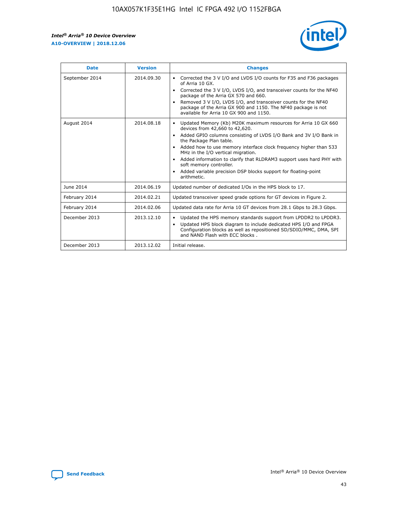r



| <b>Date</b>    | <b>Version</b> | <b>Changes</b>                                                                                                                                                                                                                                                                                                                                                                                                                                                                                                                                      |
|----------------|----------------|-----------------------------------------------------------------------------------------------------------------------------------------------------------------------------------------------------------------------------------------------------------------------------------------------------------------------------------------------------------------------------------------------------------------------------------------------------------------------------------------------------------------------------------------------------|
| September 2014 | 2014.09.30     | Corrected the 3 V I/O and LVDS I/O counts for F35 and F36 packages<br>$\bullet$<br>of Arria 10 GX.<br>Corrected the 3 V I/O, LVDS I/O, and transceiver counts for the NF40<br>$\bullet$<br>package of the Arria GX 570 and 660.<br>Removed 3 V I/O, LVDS I/O, and transceiver counts for the NF40<br>package of the Arria GX 900 and 1150. The NF40 package is not<br>available for Arria 10 GX 900 and 1150.                                                                                                                                       |
| August 2014    | 2014.08.18     | Updated Memory (Kb) M20K maximum resources for Arria 10 GX 660<br>devices from 42,660 to 42,620.<br>Added GPIO columns consisting of LVDS I/O Bank and 3V I/O Bank in<br>$\bullet$<br>the Package Plan table.<br>Added how to use memory interface clock frequency higher than 533<br>$\bullet$<br>MHz in the I/O vertical migration.<br>Added information to clarify that RLDRAM3 support uses hard PHY with<br>$\bullet$<br>soft memory controller.<br>Added variable precision DSP blocks support for floating-point<br>$\bullet$<br>arithmetic. |
| June 2014      | 2014.06.19     | Updated number of dedicated I/Os in the HPS block to 17.                                                                                                                                                                                                                                                                                                                                                                                                                                                                                            |
| February 2014  | 2014.02.21     | Updated transceiver speed grade options for GT devices in Figure 2.                                                                                                                                                                                                                                                                                                                                                                                                                                                                                 |
| February 2014  | 2014.02.06     | Updated data rate for Arria 10 GT devices from 28.1 Gbps to 28.3 Gbps.                                                                                                                                                                                                                                                                                                                                                                                                                                                                              |
| December 2013  | 2013.12.10     | Updated the HPS memory standards support from LPDDR2 to LPDDR3.<br>Updated HPS block diagram to include dedicated HPS I/O and FPGA<br>$\bullet$<br>Configuration blocks as well as repositioned SD/SDIO/MMC, DMA, SPI<br>and NAND Flash with ECC blocks.                                                                                                                                                                                                                                                                                            |
| December 2013  | 2013.12.02     | Initial release.                                                                                                                                                                                                                                                                                                                                                                                                                                                                                                                                    |